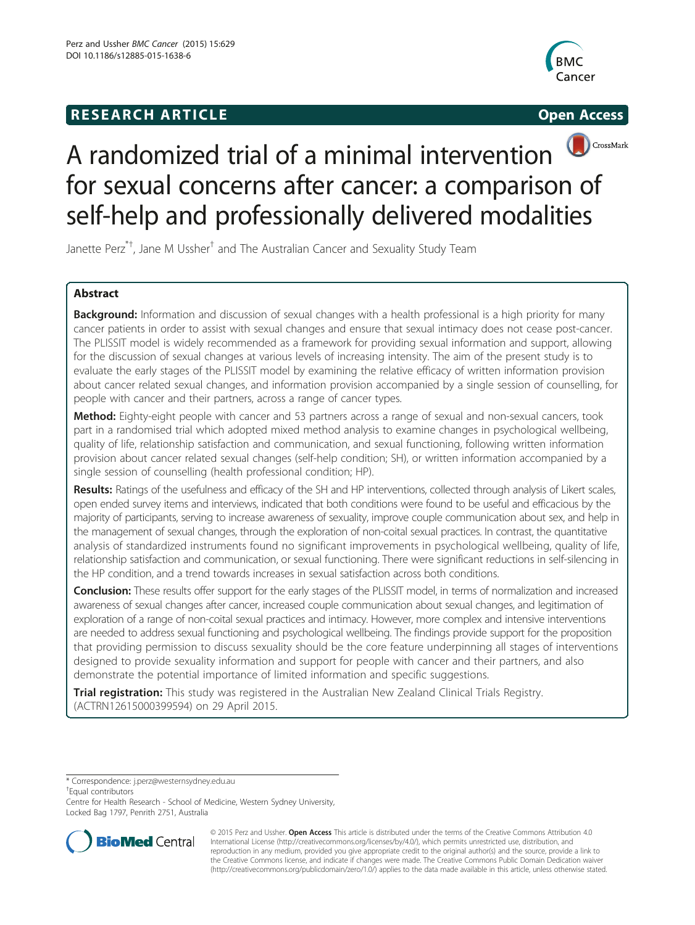## **RESEARCH ARTICLE Example 2014 Open Access**



# CrossMark A randomized trial of a minimal intervention for sexual concerns after cancer: a comparison of self-help and professionally delivered modalities

Janette Perz<sup>\*†</sup>, Jane M Ussher<sup>†</sup> and The Australian Cancer and Sexuality Study Team

## Abstract

Background: Information and discussion of sexual changes with a health professional is a high priority for many cancer patients in order to assist with sexual changes and ensure that sexual intimacy does not cease post-cancer. The PLISSIT model is widely recommended as a framework for providing sexual information and support, allowing for the discussion of sexual changes at various levels of increasing intensity. The aim of the present study is to evaluate the early stages of the PLISSIT model by examining the relative efficacy of written information provision about cancer related sexual changes, and information provision accompanied by a single session of counselling, for people with cancer and their partners, across a range of cancer types.

Method: Eighty-eight people with cancer and 53 partners across a range of sexual and non-sexual cancers, took part in a randomised trial which adopted mixed method analysis to examine changes in psychological wellbeing, quality of life, relationship satisfaction and communication, and sexual functioning, following written information provision about cancer related sexual changes (self-help condition; SH), or written information accompanied by a single session of counselling (health professional condition; HP).

Results: Ratings of the usefulness and efficacy of the SH and HP interventions, collected through analysis of Likert scales, open ended survey items and interviews, indicated that both conditions were found to be useful and efficacious by the majority of participants, serving to increase awareness of sexuality, improve couple communication about sex, and help in the management of sexual changes, through the exploration of non-coital sexual practices. In contrast, the quantitative analysis of standardized instruments found no significant improvements in psychological wellbeing, quality of life, relationship satisfaction and communication, or sexual functioning. There were significant reductions in self-silencing in the HP condition, and a trend towards increases in sexual satisfaction across both conditions.

Conclusion: These results offer support for the early stages of the PLISSIT model, in terms of normalization and increased awareness of sexual changes after cancer, increased couple communication about sexual changes, and legitimation of exploration of a range of non-coital sexual practices and intimacy. However, more complex and intensive interventions are needed to address sexual functioning and psychological wellbeing. The findings provide support for the proposition that providing permission to discuss sexuality should be the core feature underpinning all stages of interventions designed to provide sexuality information and support for people with cancer and their partners, and also demonstrate the potential importance of limited information and specific suggestions.

**Trial registration:** This study was registered in the Australian New Zealand Clinical Trials Registry. ([ACTRN12615000399594](http://www.ANZCTR.org.au/ACTRN12615000399594.aspx)) on 29 April 2015.

\* Correspondence: [j.perz@westernsydney.edu.au](mailto:j.perz@westernsydney.edu.au) †

Equal contributors

Centre for Health Research - School of Medicine, Western Sydney University, Locked Bag 1797, Penrith 2751, Australia



© 2015 Perz and Ussher. Open Access This article is distributed under the terms of the Creative Commons Attribution 4.0 International License [\(http://creativecommons.org/licenses/by/4.0/](http://creativecommons.org/licenses/by/4.0/)), which permits unrestricted use, distribution, and reproduction in any medium, provided you give appropriate credit to the original author(s) and the source, provide a link to the Creative Commons license, and indicate if changes were made. The Creative Commons Public Domain Dedication waiver [\(http://creativecommons.org/publicdomain/zero/1.0/](http://creativecommons.org/publicdomain/zero/1.0/)) applies to the data made available in this article, unless otherwise stated.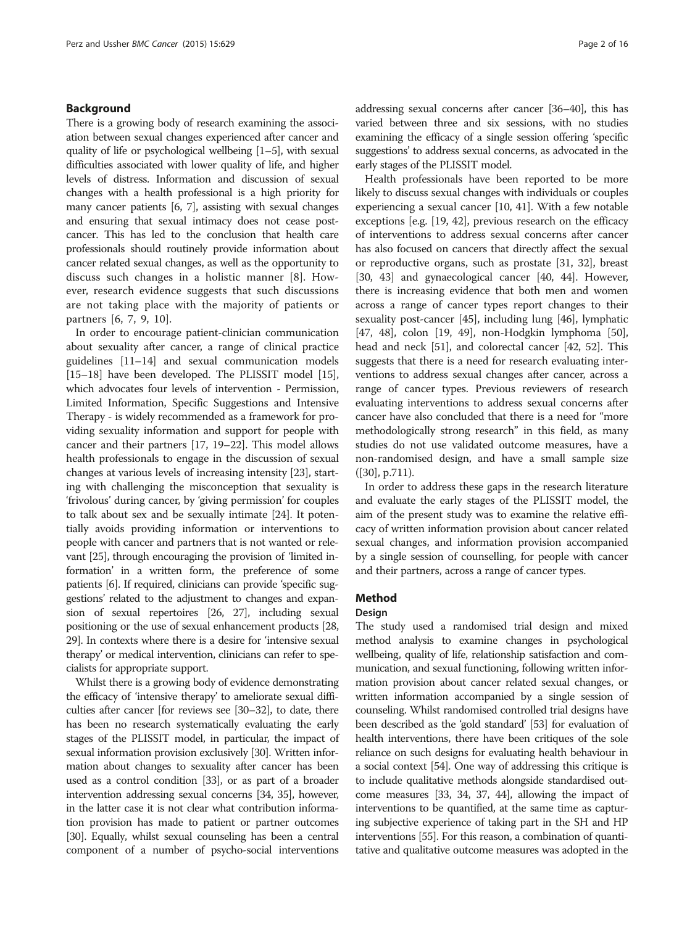### Background

There is a growing body of research examining the association between sexual changes experienced after cancer and quality of life or psychological wellbeing [\[1](#page-13-0)–[5\]](#page-13-0), with sexual difficulties associated with lower quality of life, and higher levels of distress. Information and discussion of sexual changes with a health professional is a high priority for many cancer patients [\[6](#page-13-0), [7\]](#page-13-0), assisting with sexual changes and ensuring that sexual intimacy does not cease postcancer. This has led to the conclusion that health care professionals should routinely provide information about cancer related sexual changes, as well as the opportunity to discuss such changes in a holistic manner [[8\]](#page-13-0). However, research evidence suggests that such discussions are not taking place with the majority of patients or partners [\[6](#page-13-0), [7, 9, 10\]](#page-13-0).

In order to encourage patient-clinician communication about sexuality after cancer, a range of clinical practice guidelines [\[11](#page-13-0)–[14](#page-13-0)] and sexual communication models [[15](#page-13-0)–[18\]](#page-13-0) have been developed. The PLISSIT model [[15](#page-13-0)], which advocates four levels of intervention - Permission, Limited Information, Specific Suggestions and Intensive Therapy - is widely recommended as a framework for providing sexuality information and support for people with cancer and their partners [[17](#page-13-0), [19](#page-13-0)–[22](#page-13-0)]. This model allows health professionals to engage in the discussion of sexual changes at various levels of increasing intensity [[23](#page-13-0)], starting with challenging the misconception that sexuality is 'frivolous' during cancer, by 'giving permission' for couples to talk about sex and be sexually intimate [[24](#page-13-0)]. It potentially avoids providing information or interventions to people with cancer and partners that is not wanted or relevant [\[25\]](#page-13-0), through encouraging the provision of 'limited information' in a written form, the preference of some patients [\[6](#page-13-0)]. If required, clinicians can provide 'specific suggestions' related to the adjustment to changes and expansion of sexual repertoires [[26](#page-13-0), [27](#page-13-0)], including sexual positioning or the use of sexual enhancement products [\[28](#page-13-0), [29](#page-13-0)]. In contexts where there is a desire for 'intensive sexual therapy' or medical intervention, clinicians can refer to specialists for appropriate support.

Whilst there is a growing body of evidence demonstrating the efficacy of 'intensive therapy' to ameliorate sexual difficulties after cancer [for reviews see [\[30](#page-13-0)–[32](#page-13-0)], to date, there has been no research systematically evaluating the early stages of the PLISSIT model, in particular, the impact of sexual information provision exclusively [\[30\]](#page-13-0). Written information about changes to sexuality after cancer has been used as a control condition [\[33\]](#page-13-0), or as part of a broader intervention addressing sexual concerns [[34](#page-13-0), [35](#page-13-0)], however, in the latter case it is not clear what contribution information provision has made to patient or partner outcomes [[30](#page-13-0)]. Equally, whilst sexual counseling has been a central component of a number of psycho-social interventions addressing sexual concerns after cancer [\[36](#page-13-0)–[40\]](#page-13-0), this has varied between three and six sessions, with no studies examining the efficacy of a single session offering 'specific suggestions' to address sexual concerns, as advocated in the early stages of the PLISSIT model.

Health professionals have been reported to be more likely to discuss sexual changes with individuals or couples experiencing a sexual cancer [\[10, 41\]](#page-13-0). With a few notable exceptions [e.g. [[19](#page-13-0), [42](#page-13-0)], previous research on the efficacy of interventions to address sexual concerns after cancer has also focused on cancers that directly affect the sexual or reproductive organs, such as prostate [[31](#page-13-0), [32](#page-13-0)], breast [[30](#page-13-0), [43\]](#page-13-0) and gynaecological cancer [\[40, 44](#page-13-0)]. However, there is increasing evidence that both men and women across a range of cancer types report changes to their sexuality post-cancer [\[45](#page-13-0)], including lung [[46](#page-13-0)], lymphatic [[47](#page-13-0), [48\]](#page-13-0), colon [[19](#page-13-0), [49\]](#page-13-0), non-Hodgkin lymphoma [[50](#page-14-0)], head and neck [\[51](#page-14-0)], and colorectal cancer [\[42,](#page-13-0) [52\]](#page-14-0). This suggests that there is a need for research evaluating interventions to address sexual changes after cancer, across a range of cancer types. Previous reviewers of research evaluating interventions to address sexual concerns after cancer have also concluded that there is a need for "more methodologically strong research" in this field, as many studies do not use validated outcome measures, have a non-randomised design, and have a small sample size ([\[30\]](#page-13-0), p.711).

In order to address these gaps in the research literature and evaluate the early stages of the PLISSIT model, the aim of the present study was to examine the relative efficacy of written information provision about cancer related sexual changes, and information provision accompanied by a single session of counselling, for people with cancer and their partners, across a range of cancer types.

## Method

#### Design

The study used a randomised trial design and mixed method analysis to examine changes in psychological wellbeing, quality of life, relationship satisfaction and communication, and sexual functioning, following written information provision about cancer related sexual changes, or written information accompanied by a single session of counseling. Whilst randomised controlled trial designs have been described as the 'gold standard' [\[53\]](#page-14-0) for evaluation of health interventions, there have been critiques of the sole reliance on such designs for evaluating health behaviour in a social context [\[54](#page-14-0)]. One way of addressing this critique is to include qualitative methods alongside standardised outcome measures [[33, 34](#page-13-0), [37, 44](#page-13-0)], allowing the impact of interventions to be quantified, at the same time as capturing subjective experience of taking part in the SH and HP interventions [[55](#page-14-0)]. For this reason, a combination of quantitative and qualitative outcome measures was adopted in the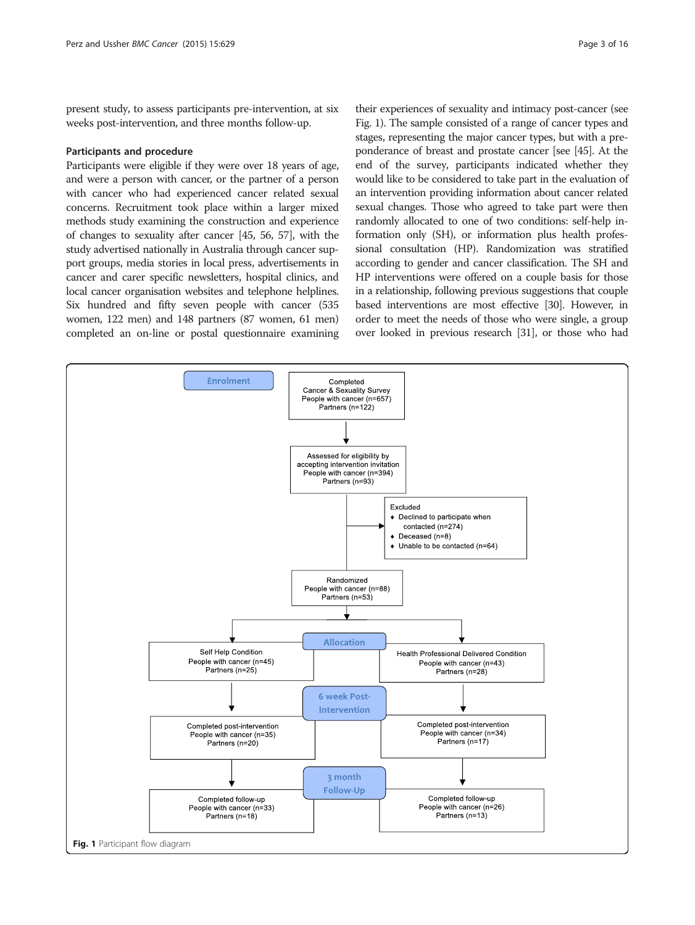present study, to assess participants pre-intervention, at six weeks post-intervention, and three months follow-up.

## Participants and procedure

Participants were eligible if they were over 18 years of age, and were a person with cancer, or the partner of a person with cancer who had experienced cancer related sexual concerns. Recruitment took place within a larger mixed methods study examining the construction and experience of changes to sexuality after cancer [\[45,](#page-13-0) [56](#page-14-0), [57\]](#page-14-0), with the study advertised nationally in Australia through cancer support groups, media stories in local press, advertisements in cancer and carer specific newsletters, hospital clinics, and local cancer organisation websites and telephone helplines. Six hundred and fifty seven people with cancer (535 women, 122 men) and 148 partners (87 women, 61 men) completed an on-line or postal questionnaire examining their experiences of sexuality and intimacy post-cancer (see Fig. 1). The sample consisted of a range of cancer types and stages, representing the major cancer types, but with a preponderance of breast and prostate cancer [see [\[45\]](#page-13-0). At the end of the survey, participants indicated whether they would like to be considered to take part in the evaluation of an intervention providing information about cancer related sexual changes. Those who agreed to take part were then randomly allocated to one of two conditions: self-help information only (SH), or information plus health professional consultation (HP). Randomization was stratified according to gender and cancer classification. The SH and HP interventions were offered on a couple basis for those in a relationship, following previous suggestions that couple based interventions are most effective [[30](#page-13-0)]. However, in order to meet the needs of those who were single, a group over looked in previous research [\[31\]](#page-13-0), or those who had

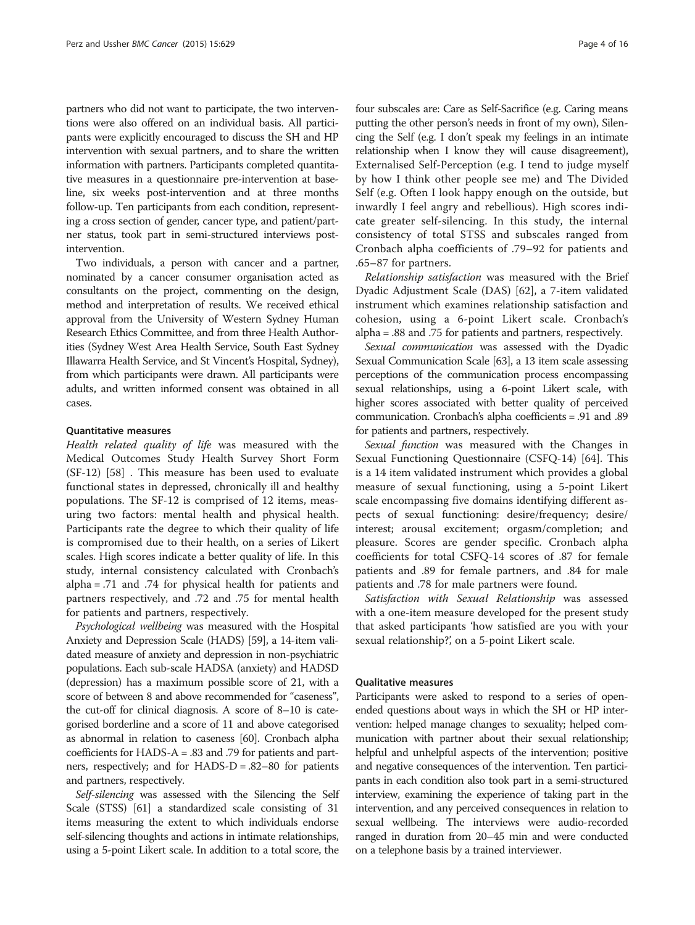partners who did not want to participate, the two interventions were also offered on an individual basis. All participants were explicitly encouraged to discuss the SH and HP intervention with sexual partners, and to share the written information with partners. Participants completed quantitative measures in a questionnaire pre-intervention at baseline, six weeks post-intervention and at three months follow-up. Ten participants from each condition, representing a cross section of gender, cancer type, and patient/partner status, took part in semi-structured interviews postintervention.

Two individuals, a person with cancer and a partner, nominated by a cancer consumer organisation acted as consultants on the project, commenting on the design, method and interpretation of results. We received ethical approval from the University of Western Sydney Human Research Ethics Committee, and from three Health Authorities (Sydney West Area Health Service, South East Sydney Illawarra Health Service, and St Vincent's Hospital, Sydney), from which participants were drawn. All participants were adults, and written informed consent was obtained in all cases.

#### Quantitative measures

Health related quality of life was measured with the Medical Outcomes Study Health Survey Short Form (SF-12) [\[58\]](#page-14-0) . This measure has been used to evaluate functional states in depressed, chronically ill and healthy populations. The SF-12 is comprised of 12 items, measuring two factors: mental health and physical health. Participants rate the degree to which their quality of life is compromised due to their health, on a series of Likert scales. High scores indicate a better quality of life. In this study, internal consistency calculated with Cronbach's alpha = .71 and .74 for physical health for patients and partners respectively, and .72 and .75 for mental health for patients and partners, respectively.

Psychological wellbeing was measured with the Hospital Anxiety and Depression Scale (HADS) [[59\]](#page-14-0), a 14-item validated measure of anxiety and depression in non-psychiatric populations. Each sub-scale HADSA (anxiety) and HADSD (depression) has a maximum possible score of 21, with a score of between 8 and above recommended for "caseness", the cut-off for clinical diagnosis. A score of 8–10 is categorised borderline and a score of 11 and above categorised as abnormal in relation to caseness [\[60\]](#page-14-0). Cronbach alpha coefficients for HADS-A = .83 and .79 for patients and partners, respectively; and for HADS-D = .82–80 for patients and partners, respectively.

Self-silencing was assessed with the Silencing the Self Scale (STSS) [\[61\]](#page-14-0) a standardized scale consisting of 31 items measuring the extent to which individuals endorse self-silencing thoughts and actions in intimate relationships, using a 5-point Likert scale. In addition to a total score, the

four subscales are: Care as Self-Sacrifice (e.g. Caring means putting the other person's needs in front of my own), Silencing the Self (e.g. I don't speak my feelings in an intimate relationship when I know they will cause disagreement), Externalised Self-Perception (e.g. I tend to judge myself by how I think other people see me) and The Divided Self (e.g. Often I look happy enough on the outside, but inwardly I feel angry and rebellious). High scores indicate greater self-silencing. In this study, the internal consistency of total STSS and subscales ranged from Cronbach alpha coefficients of .79–92 for patients and .65–87 for partners.

Relationship satisfaction was measured with the Brief Dyadic Adjustment Scale (DAS) [[62\]](#page-14-0), a 7-item validated instrument which examines relationship satisfaction and cohesion, using a 6-point Likert scale. Cronbach's alpha = .88 and .75 for patients and partners, respectively.

Sexual communication was assessed with the Dyadic Sexual Communication Scale [\[63\]](#page-14-0), a 13 item scale assessing perceptions of the communication process encompassing sexual relationships, using a 6-point Likert scale, with higher scores associated with better quality of perceived communication. Cronbach's alpha coefficients = .91 and .89 for patients and partners, respectively.

Sexual function was measured with the Changes in Sexual Functioning Questionnaire (CSFQ-14) [\[64](#page-14-0)]. This is a 14 item validated instrument which provides a global measure of sexual functioning, using a 5-point Likert scale encompassing five domains identifying different aspects of sexual functioning: desire/frequency; desire/ interest; arousal excitement; orgasm/completion; and pleasure. Scores are gender specific. Cronbach alpha coefficients for total CSFQ-14 scores of .87 for female patients and .89 for female partners, and .84 for male patients and .78 for male partners were found.

Satisfaction with Sexual Relationship was assessed with a one-item measure developed for the present study that asked participants 'how satisfied are you with your sexual relationship?', on a 5-point Likert scale.

#### Qualitative measures

Participants were asked to respond to a series of openended questions about ways in which the SH or HP intervention: helped manage changes to sexuality; helped communication with partner about their sexual relationship; helpful and unhelpful aspects of the intervention; positive and negative consequences of the intervention. Ten participants in each condition also took part in a semi-structured interview, examining the experience of taking part in the intervention, and any perceived consequences in relation to sexual wellbeing. The interviews were audio-recorded ranged in duration from 20–45 min and were conducted on a telephone basis by a trained interviewer.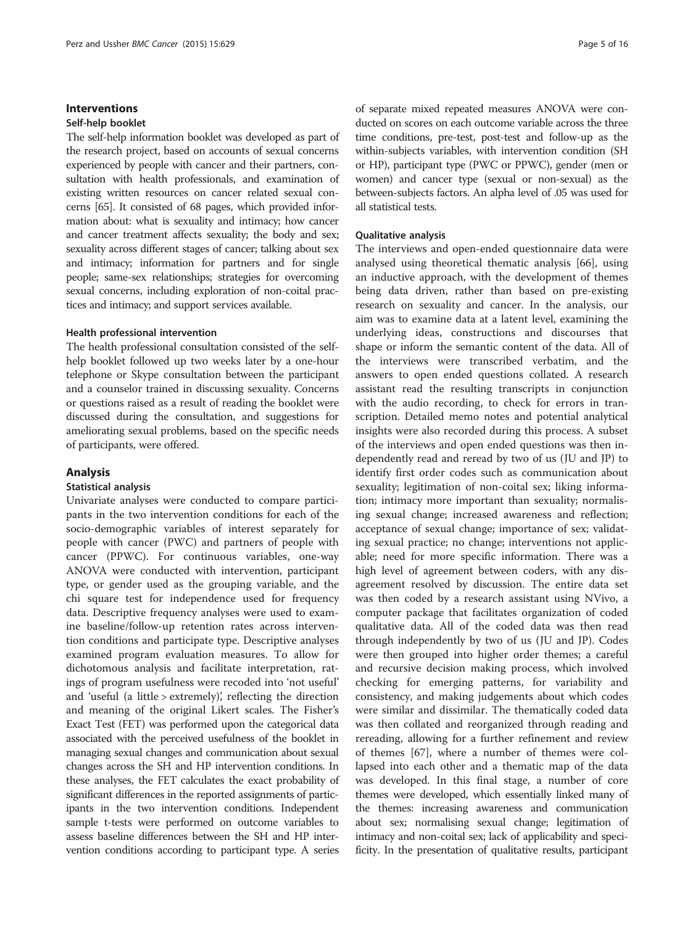## Interventions

#### Self-help booklet

The self-help information booklet was developed as part of the research project, based on accounts of sexual concerns experienced by people with cancer and their partners, consultation with health professionals, and examination of existing written resources on cancer related sexual concerns [\[65](#page-14-0)]. It consisted of 68 pages, which provided information about: what is sexuality and intimacy; how cancer and cancer treatment affects sexuality; the body and sex; sexuality across different stages of cancer; talking about sex and intimacy; information for partners and for single people; same-sex relationships; strategies for overcoming sexual concerns, including exploration of non-coital practices and intimacy; and support services available.

#### Health professional intervention

The health professional consultation consisted of the selfhelp booklet followed up two weeks later by a one-hour telephone or Skype consultation between the participant and a counselor trained in discussing sexuality. Concerns or questions raised as a result of reading the booklet were discussed during the consultation, and suggestions for ameliorating sexual problems, based on the specific needs of participants, were offered.

## Analysis

## Statistical analysis

Univariate analyses were conducted to compare participants in the two intervention conditions for each of the socio-demographic variables of interest separately for people with cancer (PWC) and partners of people with cancer (PPWC). For continuous variables, one-way ANOVA were conducted with intervention, participant type, or gender used as the grouping variable, and the chi square test for independence used for frequency data. Descriptive frequency analyses were used to examine baseline/follow-up retention rates across intervention conditions and participate type. Descriptive analyses examined program evaluation measures. To allow for dichotomous analysis and facilitate interpretation, ratings of program usefulness were recoded into 'not useful' and 'useful (a little > extremely)', reflecting the direction and meaning of the original Likert scales. The Fisher's Exact Test (FET) was performed upon the categorical data associated with the perceived usefulness of the booklet in managing sexual changes and communication about sexual changes across the SH and HP intervention conditions. In these analyses, the FET calculates the exact probability of significant differences in the reported assignments of participants in the two intervention conditions. Independent sample t-tests were performed on outcome variables to assess baseline differences between the SH and HP intervention conditions according to participant type. A series of separate mixed repeated measures ANOVA were conducted on scores on each outcome variable across the three time conditions, pre-test, post-test and follow-up as the within-subjects variables, with intervention condition (SH or HP), participant type (PWC or PPWC), gender (men or women) and cancer type (sexual or non-sexual) as the between-subjects factors. An alpha level of .05 was used for all statistical tests.

## Qualitative analysis

The interviews and open-ended questionnaire data were analysed using theoretical thematic analysis [\[66\]](#page-14-0), using an inductive approach, with the development of themes being data driven, rather than based on pre-existing research on sexuality and cancer. In the analysis, our aim was to examine data at a latent level, examining the underlying ideas, constructions and discourses that shape or inform the semantic content of the data. All of the interviews were transcribed verbatim, and the answers to open ended questions collated. A research assistant read the resulting transcripts in conjunction with the audio recording, to check for errors in transcription. Detailed memo notes and potential analytical insights were also recorded during this process. A subset of the interviews and open ended questions was then independently read and reread by two of us (JU and JP) to identify first order codes such as communication about sexuality; legitimation of non-coital sex; liking information; intimacy more important than sexuality; normalising sexual change; increased awareness and reflection; acceptance of sexual change; importance of sex; validating sexual practice; no change; interventions not applicable; need for more specific information. There was a high level of agreement between coders, with any disagreement resolved by discussion. The entire data set was then coded by a research assistant using NVivo, a computer package that facilitates organization of coded qualitative data. All of the coded data was then read through independently by two of us (JU and JP). Codes were then grouped into higher order themes; a careful and recursive decision making process, which involved checking for emerging patterns, for variability and consistency, and making judgements about which codes were similar and dissimilar. The thematically coded data was then collated and reorganized through reading and rereading, allowing for a further refinement and review of themes [\[67\]](#page-14-0), where a number of themes were collapsed into each other and a thematic map of the data was developed. In this final stage, a number of core themes were developed, which essentially linked many of the themes: increasing awareness and communication about sex; normalising sexual change; legitimation of intimacy and non-coital sex; lack of applicability and specificity. In the presentation of qualitative results, participant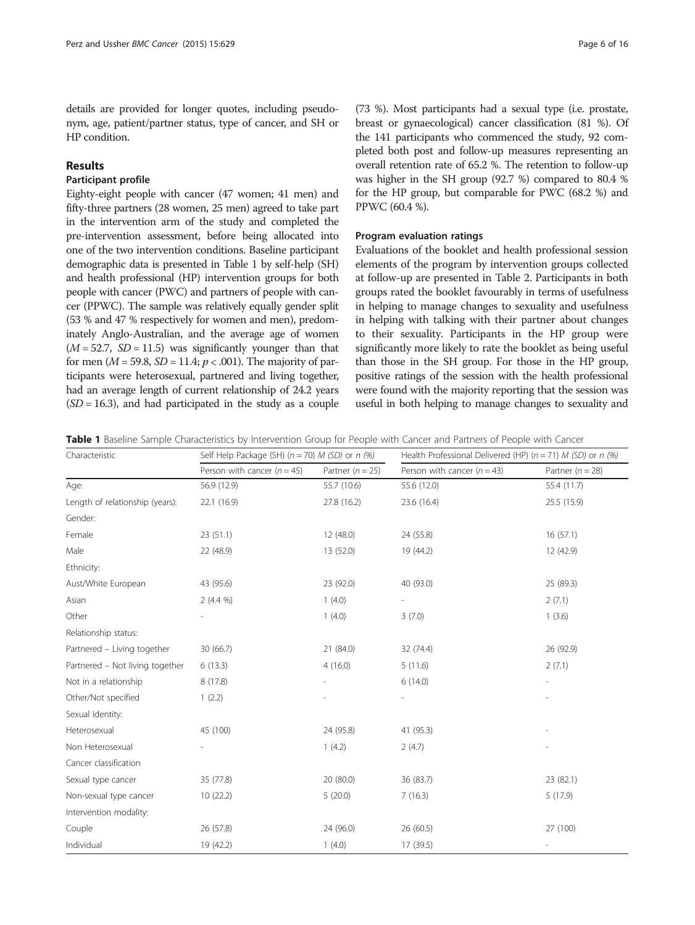<span id="page-5-0"></span>details are provided for longer quotes, including pseudonym, age, patient/partner status, type of cancer, and SH or HP condition.

## Results

## Participant profile

Eighty-eight people with cancer (47 women; 41 men) and fifty-three partners (28 women, 25 men) agreed to take part in the intervention arm of the study and completed the pre-intervention assessment, before being allocated into one of the two intervention conditions. Baseline participant demographic data is presented in Table 1 by self-help (SH) and health professional (HP) intervention groups for both people with cancer (PWC) and partners of people with cancer (PPWC). The sample was relatively equally gender split (53 % and 47 % respectively for women and men), predominately Anglo-Australian, and the average age of women  $(M = 52.7, SD = 11.5)$  was significantly younger than that for men ( $M = 59.8$ ,  $SD = 11.4$ ;  $p < .001$ ). The majority of participants were heterosexual, partnered and living together, had an average length of current relationship of 24.2 years  $(SD = 16.3)$ , and had participated in the study as a couple

(73 %). Most participants had a sexual type (i.e. prostate, breast or gynaecological) cancer classification (81 %). Of the 141 participants who commenced the study, 92 completed both post and follow-up measures representing an overall retention rate of 65.2 %. The retention to follow-up was higher in the SH group (92.7 %) compared to 80.4 % for the HP group, but comparable for PWC (68.2 %) and PPWC (60.4 %).

## Program evaluation ratings

Evaluations of the booklet and health professional session elements of the program by intervention groups collected at follow-up are presented in Table [2](#page-6-0). Participants in both groups rated the booklet favourably in terms of usefulness in helping to manage changes to sexuality and usefulness in helping with talking with their partner about changes to their sexuality. Participants in the HP group were significantly more likely to rate the booklet as being useful than those in the SH group. For those in the HP group, positive ratings of the session with the health professional were found with the majority reporting that the session was useful in both helping to manage changes to sexuality and

Table 1 Baseline Sample Characteristics by Intervention Group for People with Cancer and Partners of People with Cancer

| Characteristic                  | Self Help Package (SH) $(n = 70)$ M (SD) or n (%) |                      | Health Professional Delivered (HP) ( $n = 71$ ) M (SD) or $n$ (%) |                      |  |
|---------------------------------|---------------------------------------------------|----------------------|-------------------------------------------------------------------|----------------------|--|
|                                 | Person with cancer $(n = 45)$                     | Partner ( $n = 25$ ) | Person with cancer ( $n = 43$ )                                   | Partner ( $n = 28$ ) |  |
| Age:                            | 56.9 (12.9)                                       | 55.7 (10.6)          | 55.6 (12.0)                                                       | 55.4 (11.7)          |  |
| Length of relationship (years): | 22.1 (16.9)                                       | 27.8 (16.2)          | 23.6 (16.4)                                                       | 25.5 (15.9)          |  |
| Gender:                         |                                                   |                      |                                                                   |                      |  |
| Female                          | 23(51.1)                                          | 12 (48.0)            | 24 (55.8)                                                         | 16(57.1)             |  |
| Male                            | 22 (48.9)                                         | 13 (52.0)            | 19 (44.2)                                                         | 12 (42.9)            |  |
| Ethnicity:                      |                                                   |                      |                                                                   |                      |  |
| Aust/White European             | 43 (95.6)                                         | 23 (92.0)            | 40 (93.0)                                                         | 25 (89.3)            |  |
| Asian                           | 2(4.4%                                            | 1(4.0)               |                                                                   | 2(7.1)               |  |
| Other                           |                                                   | 1(4.0)               | 3(7.0)                                                            | 1(3.6)               |  |
| Relationship status:            |                                                   |                      |                                                                   |                      |  |
| Partnered - Living together     | 30 (66.7)                                         | 21 (84.0)            | 32 (74.4)                                                         | 26 (92.9)            |  |
| Partnered - Not living together | 6(13.3)                                           | 4(16.0)              | 5(11.6)                                                           | 2(7.1)               |  |
| Not in a relationship           | 8(17.8)                                           |                      | 6(14.0)                                                           |                      |  |
| Other/Not specified             | 1(2.2)                                            |                      |                                                                   |                      |  |
| Sexual identity:                |                                                   |                      |                                                                   |                      |  |
| Heterosexual                    | 45 (100)                                          | 24 (95.8)            | 41 (95.3)                                                         |                      |  |
| Non Heterosexual                |                                                   | 1(4.2)               | 2(4.7)                                                            |                      |  |
| Cancer classification           |                                                   |                      |                                                                   |                      |  |
| Sexual type cancer              | 35 (77.8)                                         | 20 (80.0)            | 36 (83.7)                                                         | 23 (82.1)            |  |
| Non-sexual type cancer          | 10(22.2)                                          | 5(20.0)              | 7(16.3)                                                           | 5(17.9)              |  |
| Intervention modality:          |                                                   |                      |                                                                   |                      |  |
| Couple                          | 26 (57.8)                                         | 24 (96.0)            | 26 (60.5)                                                         | 27 (100)             |  |
| Individual                      | 19 (42.2)                                         | 1(4.0)               | 17 (39.5)                                                         |                      |  |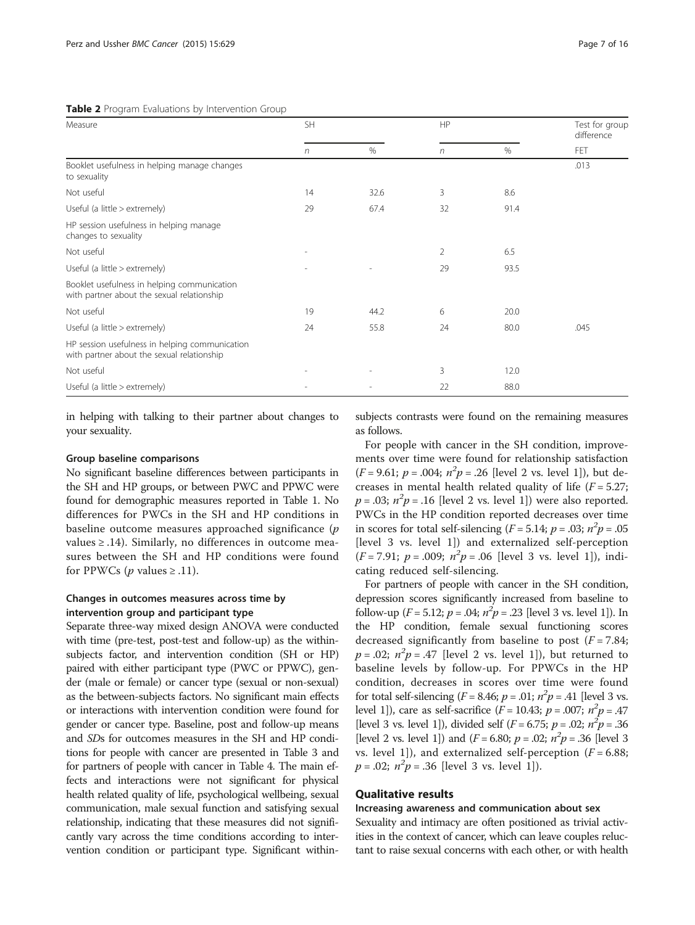#### <span id="page-6-0"></span>Table 2 Program Evaluations by Intervention Group

| Measure                                                                                      | <b>SH</b> |                | HP |      | Test for group<br>difference |  |
|----------------------------------------------------------------------------------------------|-----------|----------------|----|------|------------------------------|--|
|                                                                                              | n         | $\frac{0}{0}$  | n  | $\%$ | FET                          |  |
| Booklet usefulness in helping manage changes<br>to sexuality                                 |           |                |    |      | .013                         |  |
| Not useful                                                                                   | 14        | 32.6           | 3  | 8.6  |                              |  |
| Useful (a little $>$ extremely)                                                              | 29        | 67.4           | 32 | 91.4 |                              |  |
| HP session usefulness in helping manage<br>changes to sexuality                              |           |                |    |      |                              |  |
| Not useful                                                                                   |           |                | 2  | 6.5  |                              |  |
| Useful (a little > extremely)                                                                |           | $\overline{a}$ | 29 | 93.5 |                              |  |
| Booklet usefulness in helping communication<br>with partner about the sexual relationship    |           |                |    |      |                              |  |
| Not useful                                                                                   | 19        | 44.2           | 6  | 20.0 |                              |  |
| Useful (a little $>$ extremely)                                                              | 24        | 55.8           | 24 | 80.0 | .045                         |  |
| HP session usefulness in helping communication<br>with partner about the sexual relationship |           |                |    |      |                              |  |
| Not useful                                                                                   |           |                | 3  | 12.0 |                              |  |
| Useful (a little $>$ extremely)                                                              |           |                | 22 | 88.0 |                              |  |

in helping with talking to their partner about changes to your sexuality.

#### Group baseline comparisons

No significant baseline differences between participants in the SH and HP groups, or between PWC and PPWC were found for demographic measures reported in Table [1](#page-5-0). No differences for PWCs in the SH and HP conditions in baseline outcome measures approached significance (p values ≥ .14). Similarly, no differences in outcome measures between the SH and HP conditions were found for PPWCs (*p* values  $\ge$  .11).

## Changes in outcomes measures across time by intervention group and participant type

Separate three-way mixed design ANOVA were conducted with time (pre-test, post-test and follow-up) as the withinsubjects factor, and intervention condition (SH or HP) paired with either participant type (PWC or PPWC), gender (male or female) or cancer type (sexual or non-sexual) as the between-subjects factors. No significant main effects or interactions with intervention condition were found for gender or cancer type. Baseline, post and follow-up means and SDs for outcomes measures in the SH and HP conditions for people with cancer are presented in Table [3](#page-7-0) and for partners of people with cancer in Table [4.](#page-7-0) The main effects and interactions were not significant for physical health related quality of life, psychological wellbeing, sexual communication, male sexual function and satisfying sexual relationship, indicating that these measures did not significantly vary across the time conditions according to intervention condition or participant type. Significant withinsubjects contrasts were found on the remaining measures as follows.

For people with cancer in the SH condition, improvements over time were found for relationship satisfaction  $(F = 9.61; p = .004; n^2p = .26$  [level 2 vs. level 1]), but decreases in mental health related quality of life  $(F = 5.27)$ ;  $p = .03; n^2p = .16$  [level 2 vs. level 1]) were also reported. PWCs in the HP condition reported decreases over time in scores for total self-silencing ( $F = 5.14$ ;  $p = .03$ ;  $n^2 p = .05$ [level 3 vs. level 1]) and externalized self-perception  $(F = 7.91; p = .009; n^2p = .06$  [level 3 vs. level 1]), indicating reduced self-silencing.

For partners of people with cancer in the SH condition, depression scores significantly increased from baseline to follow-up ( $F = 5.12$ ;  $p = .04$ ;  $n^2p = .23$  [level 3 vs. level 1]). In the HP condition, female sexual functioning scores decreased significantly from baseline to post  $(F = 7.84;$  $p = .02; n^2p = .47$  [level 2 vs. level 1]), but returned to baseline levels by follow-up. For PPWCs in the HP condition, decreases in scores over time were found for total self-silencing ( $F = 8.46$ ;  $p = .01$ ;  $n^2 p = .41$  [level 3 vs. level 1]), care as self-sacrifice ( $F = 10.43$ ;  $p = .007$ ;  $n^2p = .47$ [level 3 vs. level 1]), divided self ( $F = 6.75$ ;  $p = .02$ ;  $n^2 p = .36$ [level 2 vs. level 1]) and ( $F = 6.80$ ;  $p = .02$ ;  $n^2 p = .36$  [level 3 vs. level 1]), and externalized self-perception  $(F = 6.88;$  $p = .02; n^2p = .36$  [level 3 vs. level 1]).

## Qualitative results

#### Increasing awareness and communication about sex

Sexuality and intimacy are often positioned as trivial activities in the context of cancer, which can leave couples reluctant to raise sexual concerns with each other, or with health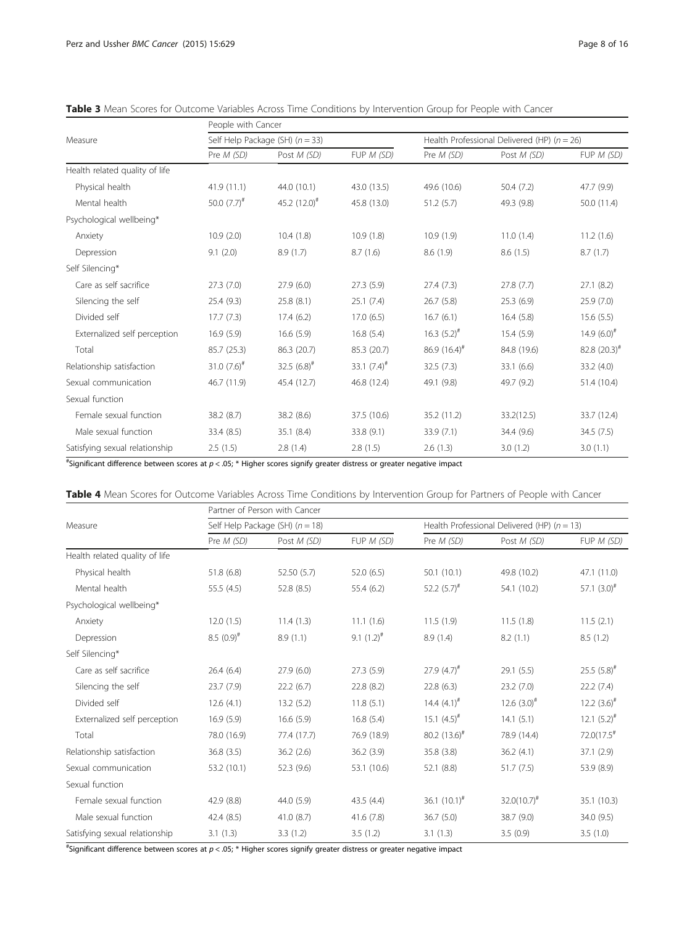|                                | People with Cancer                |                    |                  |                                               |             |                    |  |
|--------------------------------|-----------------------------------|--------------------|------------------|-----------------------------------------------|-------------|--------------------|--|
| Measure                        | Self Help Package (SH) $(n = 33)$ |                    |                  | Health Professional Delivered (HP) $(n = 26)$ |             |                    |  |
|                                | Pre M (SD)                        | Post M (SD)        | FUP M (SD)       | Pre M (SD)                                    | Post M (SD) | FUP M (SD)         |  |
| Health related quality of life |                                   |                    |                  |                                               |             |                    |  |
| Physical health                | 41.9(11.1)                        | 44.0 (10.1)        | 43.0 (13.5)      | 49.6 (10.6)                                   | 50.4(7.2)   | 47.7 (9.9)         |  |
| Mental health                  | 50.0 $(7.7)^{\#}$                 | 45.2 $(12.0)^{\#}$ | 45.8 (13.0)      | 51.2(5.7)                                     | 49.3 (9.8)  | 50.0 (11.4)        |  |
| Psychological wellbeing*       |                                   |                    |                  |                                               |             |                    |  |
| Anxiety                        | 10.9(2.0)                         | 10.4(1.8)          | 10.9(1.8)        | 10.9(1.9)                                     | 11.0(1.4)   | 11.2(1.6)          |  |
| Depression                     | 9.1(2.0)                          | 8.9(1.7)           | 8.7(1.6)         | 8.6(1.9)                                      | 8.6(1.5)    | 8.7(1.7)           |  |
| Self Silencing*                |                                   |                    |                  |                                               |             |                    |  |
| Care as self sacrifice         | 27.3(7.0)                         | 27.9(6.0)          | 27.3(5.9)        | 27.4(7.3)                                     | 27.8(7.7)   | 27.1(8.2)          |  |
| Silencing the self             | 25.4(9.3)                         | 25.8 (8.1)         | 25.1(7.4)        | 26.7(5.8)                                     | 25.3(6.9)   | 25.9 (7.0)         |  |
| Divided self                   | 17.7(7.3)                         | 17.4(6.2)          | 17.0(6.5)        | 16.7(6.1)                                     | 16.4(5.8)   | 15.6(5.5)          |  |
| Externalized self perception   | 16.9(5.9)                         | 16.6(5.9)          | 16.8(5.4)        | $16.3 (5.2)^{\#}$                             | 15.4(5.9)   | $14.9(6.0)^{\#}$   |  |
| Total                          | 85.7 (25.3)                       | 86.3 (20.7)        | 85.3 (20.7)      | $86.9(16.4)^{\#}$                             | 84.8 (19.6) | $82.8~(20.3)^{\#}$ |  |
| Relationship satisfaction      | 31.0 $(7.6)^{\#}$                 | 32.5 $(6.8)^{\#}$  | 33.1 $(7.4)^{#}$ | 32.5(7.3)                                     | 33.1 (6.6)  | 33.2 (4.0)         |  |
| Sexual communication           | 46.7 (11.9)                       | 45.4 (12.7)        | 46.8 (12.4)      | 49.1 (9.8)                                    | 49.7 (9.2)  | 51.4 (10.4)        |  |
| Sexual function                |                                   |                    |                  |                                               |             |                    |  |
| Female sexual function         | 38.2(8.7)                         | 38.2 (8.6)         | 37.5 (10.6)      | 35.2 (11.2)                                   | 33.2(12.5)  | 33.7 (12.4)        |  |
| Male sexual function           | 33.4(8.5)                         | 35.1 (8.4)         | 33.8(9.1)        | 33.9 (7.1)                                    | 34.4 (9.6)  | 34.5(7.5)          |  |
| Satisfying sexual relationship | 2.5(1.5)                          | 2.8(1.4)           | 2.8(1.5)         | 2.6(1.3)                                      | 3.0(1.2)    | 3.0(1.1)           |  |

<span id="page-7-0"></span>Table 3 Mean Scores for Outcome Variables Across Time Conditions by Intervention Group for People with Cancer

 $^{\#}$ Significant difference between scores at  $p < .05;$   $*$  Higher scores signify greater distress or greater negative impact

| Table 4 Mean Scores for Outcome Variables Across Time Conditions by Intervention Group for Partners of People with Cancer |  |  |  |
|---------------------------------------------------------------------------------------------------------------------------|--|--|--|
|---------------------------------------------------------------------------------------------------------------------------|--|--|--|

|                                | Partner of Person with Cancer     |             |                  |                                                 |                     |                          |  |
|--------------------------------|-----------------------------------|-------------|------------------|-------------------------------------------------|---------------------|--------------------------|--|
| Measure                        | Self Help Package (SH) $(n = 18)$ |             |                  | Health Professional Delivered (HP) ( $n = 13$ ) |                     |                          |  |
|                                | Pre M (SD)                        | Post M (SD) | FUP M (SD)       | Pre M (SD)                                      | Post M (SD)         | FUP M (SD)               |  |
| Health related quality of life |                                   |             |                  |                                                 |                     |                          |  |
| Physical health                | 51.8(6.8)                         | 52.50 (5.7) | 52.0(6.5)        | 50.1 (10.1)                                     | 49.8 (10.2)         | 47.1 (11.0)              |  |
| Mental health                  | 55.5(4.5)                         | 52.8 (8.5)  | 55.4 (6.2)       | 52.2 $(5.7)^{#}$                                | 54.1 (10.2)         | 57.1 $(3.0)^{\#}$        |  |
| Psychological wellbeing*       |                                   |             |                  |                                                 |                     |                          |  |
| Anxiety                        | 12.0(1.5)                         | 11.4(1.3)   | 11.1(1.6)        | 11.5(1.9)                                       | 11.5(1.8)           | 11.5(2.1)                |  |
| Depression                     | $8.5~(0.9)^*$                     | 8.9(1.1)    | 9.1 $(1.2)^{\#}$ | 8.9(1.4)                                        | 8.2(1.1)            | 8.5(1.2)                 |  |
| Self Silencing*                |                                   |             |                  |                                                 |                     |                          |  |
| Care as self sacrifice         | 26.4(6.4)                         | 27.9(6.0)   | 27.3(5.9)        | $27.9(4.7)^{#}$                                 | 29.1(5.5)           | $25.5(5.8)^{*}$          |  |
| Silencing the self             | 23.7(7.9)                         | 22.2(6.7)   | 22.8 (8.2)       | 22.8(6.3)                                       | 23.2(7.0)           | 22.2(7.4)                |  |
| Divided self                   | 12.6(4.1)                         | 13.2(5.2)   | 11.8(5.1)        | $14.4~(4.1)^{#}$                                | $12.6$ $(3.0)^{\#}$ | $12.2$ $(3.6)^{\#}$      |  |
| Externalized self perception   | 16.9(5.9)                         | 16.6(5.9)   | 16.8(5.4)        | $15.1~(4.5)^{\#}$                               | 14.1(5.1)           | $12.1 (5.2)^{\#}$        |  |
| Total                          | 78.0 (16.9)                       | 77.4 (17.7) | 76.9 (18.9)      | 80.2 $(13.6)^{\text{\#}}$                       | 78.9 (14.4)         | 72.0(17.5 <sup>#</sup> ) |  |
| Relationship satisfaction      | 36.8(3.5)                         | 36.2(2.6)   | 36.2 (3.9)       | 35.8 (3.8)                                      | 36.2(4.1)           | 37.1(2.9)                |  |
| Sexual communication           | 53.2 (10.1)                       | 52.3 (9.6)  | 53.1 (10.6)      | 52.1 (8.8)                                      | 51.7(7.5)           | 53.9 (8.9)               |  |
| Sexual function                |                                   |             |                  |                                                 |                     |                          |  |
| Female sexual function         | 42.9 (8.8)                        | 44.0 (5.9)  | 43.5 (4.4)       | 36.1 $(10.1)^{\#}$                              | $32.0(10.7)^{#}$    | 35.1 (10.3)              |  |
| Male sexual function           | 42.4(8.5)                         | 41.0 (8.7)  | 41.6(7.8)        | 36.7(5.0)                                       | 38.7 (9.0)          | 34.0 (9.5)               |  |
| Satisfying sexual relationship | 3.1(1.3)                          | 3.3(1.2)    | 3.5(1.2)         | 3.1(1.3)                                        | 3.5(0.9)            | 3.5(1.0)                 |  |

 $^{\#}$ Significant difference between scores at  $p < .05;$   $^{\ast}$  Higher scores signify greater distress or greater negative impact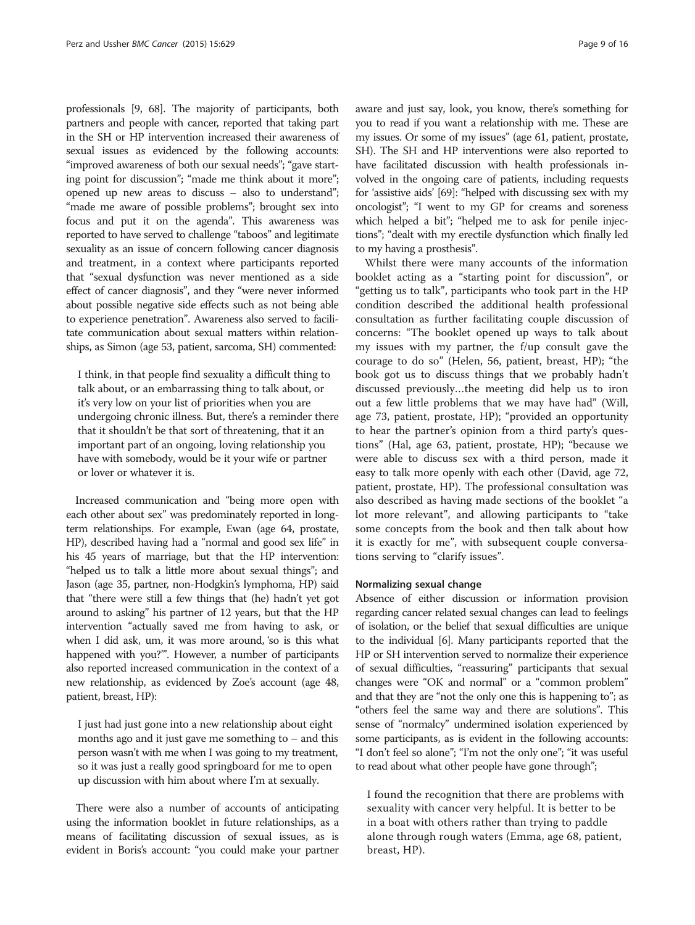professionals [\[9](#page-13-0), [68\]](#page-14-0). The majority of participants, both partners and people with cancer, reported that taking part in the SH or HP intervention increased their awareness of sexual issues as evidenced by the following accounts: "improved awareness of both our sexual needs"; "gave starting point for discussion"; "made me think about it more"; opened up new areas to discuss – also to understand"; "made me aware of possible problems"; brought sex into focus and put it on the agenda". This awareness was reported to have served to challenge "taboos" and legitimate sexuality as an issue of concern following cancer diagnosis and treatment, in a context where participants reported that "sexual dysfunction was never mentioned as a side effect of cancer diagnosis", and they "were never informed about possible negative side effects such as not being able to experience penetration". Awareness also served to facilitate communication about sexual matters within relationships, as Simon (age 53, patient, sarcoma, SH) commented:

I think, in that people find sexuality a difficult thing to talk about, or an embarrassing thing to talk about, or it's very low on your list of priorities when you are undergoing chronic illness. But, there's a reminder there that it shouldn't be that sort of threatening, that it an important part of an ongoing, loving relationship you have with somebody, would be it your wife or partner or lover or whatever it is.

Increased communication and "being more open with each other about sex" was predominately reported in longterm relationships. For example, Ewan (age 64, prostate, HP), described having had a "normal and good sex life" in his 45 years of marriage, but that the HP intervention: "helped us to talk a little more about sexual things"; and Jason (age 35, partner, non-Hodgkin's lymphoma, HP) said that "there were still a few things that (he) hadn't yet got around to asking" his partner of 12 years, but that the HP intervention "actually saved me from having to ask, or when I did ask, um, it was more around, 'so is this what happened with you?'". However, a number of participants also reported increased communication in the context of a new relationship, as evidenced by Zoe's account (age 48, patient, breast, HP):

I just had just gone into a new relationship about eight months ago and it just gave me something to – and this person wasn't with me when I was going to my treatment, so it was just a really good springboard for me to open up discussion with him about where I'm at sexually.

There were also a number of accounts of anticipating using the information booklet in future relationships, as a means of facilitating discussion of sexual issues, as is evident in Boris's account: "you could make your partner

aware and just say, look, you know, there's something for you to read if you want a relationship with me. These are my issues. Or some of my issues" (age 61, patient, prostate, SH). The SH and HP interventions were also reported to have facilitated discussion with health professionals involved in the ongoing care of patients, including requests for 'assistive aids' [\[69](#page-14-0)]: "helped with discussing sex with my oncologist"; "I went to my GP for creams and soreness which helped a bit"; "helped me to ask for penile injections"; "dealt with my erectile dysfunction which finally led to my having a prosthesis".

Whilst there were many accounts of the information booklet acting as a "starting point for discussion", or "getting us to talk", participants who took part in the HP condition described the additional health professional consultation as further facilitating couple discussion of concerns: "The booklet opened up ways to talk about my issues with my partner, the f/up consult gave the courage to do so" (Helen, 56, patient, breast, HP); "the book got us to discuss things that we probably hadn't discussed previously…the meeting did help us to iron out a few little problems that we may have had" (Will, age 73, patient, prostate, HP); "provided an opportunity to hear the partner's opinion from a third party's questions" (Hal, age 63, patient, prostate, HP); "because we were able to discuss sex with a third person, made it easy to talk more openly with each other (David, age 72, patient, prostate, HP). The professional consultation was also described as having made sections of the booklet "a lot more relevant", and allowing participants to "take some concepts from the book and then talk about how it is exactly for me", with subsequent couple conversations serving to "clarify issues".

## Normalizing sexual change

Absence of either discussion or information provision regarding cancer related sexual changes can lead to feelings of isolation, or the belief that sexual difficulties are unique to the individual [[6](#page-13-0)]. Many participants reported that the HP or SH intervention served to normalize their experience of sexual difficulties, "reassuring" participants that sexual changes were "OK and normal" or a "common problem" and that they are "not the only one this is happening to"; as "others feel the same way and there are solutions". This sense of "normalcy" undermined isolation experienced by some participants, as is evident in the following accounts: "I don't feel so alone"; "I'm not the only one"; "it was useful to read about what other people have gone through";

I found the recognition that there are problems with sexuality with cancer very helpful. It is better to be in a boat with others rather than trying to paddle alone through rough waters (Emma, age 68, patient, breast, HP).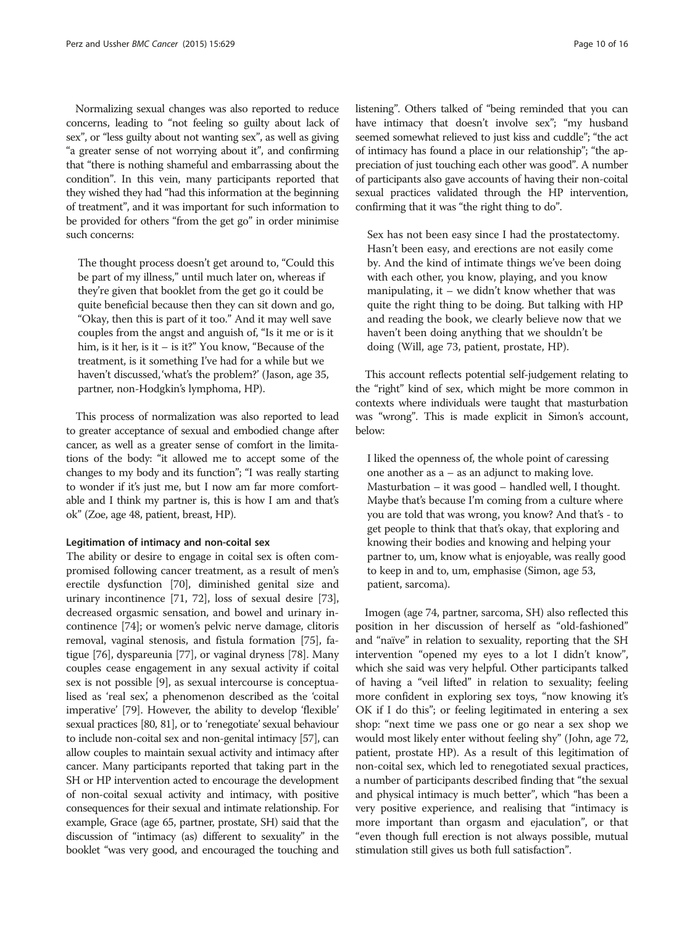Normalizing sexual changes was also reported to reduce concerns, leading to "not feeling so guilty about lack of sex", or "less guilty about not wanting sex", as well as giving "a greater sense of not worrying about it", and confirming that "there is nothing shameful and embarrassing about the condition". In this vein, many participants reported that they wished they had "had this information at the beginning of treatment", and it was important for such information to be provided for others "from the get go" in order minimise such concerns:

The thought process doesn't get around to, "Could this be part of my illness," until much later on, whereas if they're given that booklet from the get go it could be quite beneficial because then they can sit down and go, "Okay, then this is part of it too." And it may well save couples from the angst and anguish of, "Is it me or is it him, is it her, is it – is it?" You know, "Because of the treatment, is it something I've had for a while but we haven't discussed,'what's the problem?' (Jason, age 35, partner, non-Hodgkin's lymphoma, HP).

This process of normalization was also reported to lead to greater acceptance of sexual and embodied change after cancer, as well as a greater sense of comfort in the limitations of the body: "it allowed me to accept some of the changes to my body and its function"; "I was really starting to wonder if it's just me, but I now am far more comfortable and I think my partner is, this is how I am and that's ok" (Zoe, age 48, patient, breast, HP).

## Legitimation of intimacy and non-coital sex

The ability or desire to engage in coital sex is often compromised following cancer treatment, as a result of men's erectile dysfunction [[70](#page-14-0)], diminished genital size and urinary incontinence [\[71, 72\]](#page-14-0), loss of sexual desire [[73](#page-14-0)], decreased orgasmic sensation, and bowel and urinary incontinence [\[74\]](#page-14-0); or women's pelvic nerve damage, clitoris removal, vaginal stenosis, and fistula formation [[75](#page-14-0)], fatigue [\[76\]](#page-14-0), dyspareunia [[77](#page-14-0)], or vaginal dryness [[78](#page-14-0)]. Many couples cease engagement in any sexual activity if coital sex is not possible [\[9](#page-13-0)], as sexual intercourse is conceptualised as 'real sex', a phenomenon described as the 'coital imperative' [[79](#page-14-0)]. However, the ability to develop 'flexible' sexual practices [\[80, 81\]](#page-14-0), or to 'renegotiate'sexual behaviour to include non-coital sex and non-genital intimacy [[57](#page-14-0)], can allow couples to maintain sexual activity and intimacy after cancer. Many participants reported that taking part in the SH or HP intervention acted to encourage the development of non-coital sexual activity and intimacy, with positive consequences for their sexual and intimate relationship. For example, Grace (age 65, partner, prostate, SH) said that the discussion of "intimacy (as) different to sexuality" in the booklet "was very good, and encouraged the touching and

listening". Others talked of "being reminded that you can have intimacy that doesn't involve sex"; "my husband seemed somewhat relieved to just kiss and cuddle"; "the act of intimacy has found a place in our relationship"; "the appreciation of just touching each other was good". A number of participants also gave accounts of having their non-coital sexual practices validated through the HP intervention, confirming that it was "the right thing to do".

Sex has not been easy since I had the prostatectomy. Hasn't been easy, and erections are not easily come by. And the kind of intimate things we've been doing with each other, you know, playing, and you know manipulating, it – we didn't know whether that was quite the right thing to be doing. But talking with HP and reading the book, we clearly believe now that we haven't been doing anything that we shouldn't be doing (Will, age 73, patient, prostate, HP).

This account reflects potential self-judgement relating to the "right" kind of sex, which might be more common in contexts where individuals were taught that masturbation was "wrong". This is made explicit in Simon's account, below:

I liked the openness of, the whole point of caressing one another as a – as an adjunct to making love. Masturbation – it was good – handled well, I thought. Maybe that's because I'm coming from a culture where you are told that was wrong, you know? And that's - to get people to think that that's okay, that exploring and knowing their bodies and knowing and helping your partner to, um, know what is enjoyable, was really good to keep in and to, um, emphasise (Simon, age 53, patient, sarcoma).

Imogen (age 74, partner, sarcoma, SH) also reflected this position in her discussion of herself as "old-fashioned" and "naïve" in relation to sexuality, reporting that the SH intervention "opened my eyes to a lot I didn't know", which she said was very helpful. Other participants talked of having a "veil lifted" in relation to sexuality; feeling more confident in exploring sex toys, "now knowing it's OK if I do this"; or feeling legitimated in entering a sex shop: "next time we pass one or go near a sex shop we would most likely enter without feeling shy" (John, age 72, patient, prostate HP). As a result of this legitimation of non-coital sex, which led to renegotiated sexual practices, a number of participants described finding that "the sexual and physical intimacy is much better", which "has been a very positive experience, and realising that "intimacy is more important than orgasm and ejaculation", or that "even though full erection is not always possible, mutual stimulation still gives us both full satisfaction".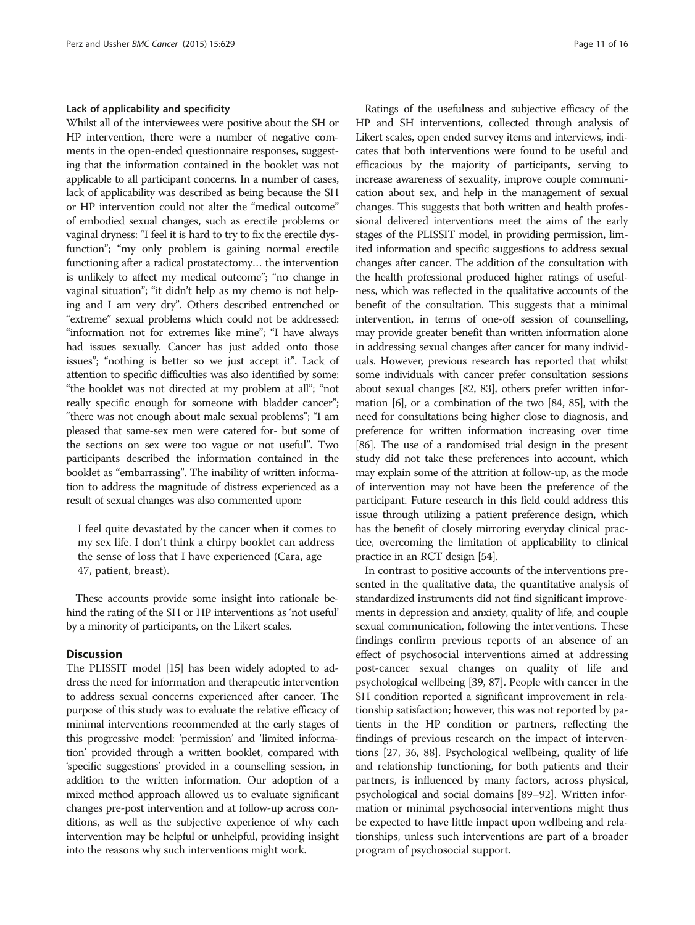#### Lack of applicability and specificity

Whilst all of the interviewees were positive about the SH or HP intervention, there were a number of negative comments in the open-ended questionnaire responses, suggesting that the information contained in the booklet was not applicable to all participant concerns. In a number of cases, lack of applicability was described as being because the SH or HP intervention could not alter the "medical outcome" of embodied sexual changes, such as erectile problems or vaginal dryness: "I feel it is hard to try to fix the erectile dysfunction"; "my only problem is gaining normal erectile functioning after a radical prostatectomy… the intervention is unlikely to affect my medical outcome"; "no change in vaginal situation"; "it didn't help as my chemo is not helping and I am very dry". Others described entrenched or "extreme" sexual problems which could not be addressed: "information not for extremes like mine"; "I have always had issues sexually. Cancer has just added onto those issues"; "nothing is better so we just accept it". Lack of attention to specific difficulties was also identified by some: "the booklet was not directed at my problem at all"; "not really specific enough for someone with bladder cancer"; "there was not enough about male sexual problems"; "I am pleased that same-sex men were catered for- but some of the sections on sex were too vague or not useful". Two participants described the information contained in the booklet as "embarrassing". The inability of written information to address the magnitude of distress experienced as a result of sexual changes was also commented upon:

I feel quite devastated by the cancer when it comes to my sex life. I don't think a chirpy booklet can address the sense of loss that I have experienced (Cara, age 47, patient, breast).

These accounts provide some insight into rationale behind the rating of the SH or HP interventions as 'not useful' by a minority of participants, on the Likert scales.

## **Discussion**

The PLISSIT model [\[15](#page-13-0)] has been widely adopted to address the need for information and therapeutic intervention to address sexual concerns experienced after cancer. The purpose of this study was to evaluate the relative efficacy of minimal interventions recommended at the early stages of this progressive model: 'permission' and 'limited information' provided through a written booklet, compared with 'specific suggestions' provided in a counselling session, in addition to the written information. Our adoption of a mixed method approach allowed us to evaluate significant changes pre-post intervention and at follow-up across conditions, as well as the subjective experience of why each intervention may be helpful or unhelpful, providing insight into the reasons why such interventions might work.

Ratings of the usefulness and subjective efficacy of the HP and SH interventions, collected through analysis of Likert scales, open ended survey items and interviews, indicates that both interventions were found to be useful and efficacious by the majority of participants, serving to increase awareness of sexuality, improve couple communication about sex, and help in the management of sexual changes. This suggests that both written and health professional delivered interventions meet the aims of the early stages of the PLISSIT model, in providing permission, limited information and specific suggestions to address sexual changes after cancer. The addition of the consultation with the health professional produced higher ratings of usefulness, which was reflected in the qualitative accounts of the benefit of the consultation. This suggests that a minimal intervention, in terms of one-off session of counselling, may provide greater benefit than written information alone in addressing sexual changes after cancer for many individuals. However, previous research has reported that whilst some individuals with cancer prefer consultation sessions about sexual changes [[82](#page-14-0), [83](#page-14-0)], others prefer written information [\[6\]](#page-13-0), or a combination of the two [[84](#page-14-0), [85](#page-14-0)], with the need for consultations being higher close to diagnosis, and preference for written information increasing over time [[86](#page-14-0)]. The use of a randomised trial design in the present study did not take these preferences into account, which may explain some of the attrition at follow-up, as the mode of intervention may not have been the preference of the participant. Future research in this field could address this issue through utilizing a patient preference design, which has the benefit of closely mirroring everyday clinical practice, overcoming the limitation of applicability to clinical practice in an RCT design [\[54\]](#page-14-0).

In contrast to positive accounts of the interventions presented in the qualitative data, the quantitative analysis of standardized instruments did not find significant improvements in depression and anxiety, quality of life, and couple sexual communication, following the interventions. These findings confirm previous reports of an absence of an effect of psychosocial interventions aimed at addressing post-cancer sexual changes on quality of life and psychological wellbeing [\[39](#page-13-0), [87\]](#page-14-0). People with cancer in the SH condition reported a significant improvement in relationship satisfaction; however, this was not reported by patients in the HP condition or partners, reflecting the findings of previous research on the impact of interventions [\[27](#page-13-0), [36,](#page-13-0) [88\]](#page-14-0). Psychological wellbeing, quality of life and relationship functioning, for both patients and their partners, is influenced by many factors, across physical, psychological and social domains [[89](#page-14-0)–[92\]](#page-14-0). Written information or minimal psychosocial interventions might thus be expected to have little impact upon wellbeing and relationships, unless such interventions are part of a broader program of psychosocial support.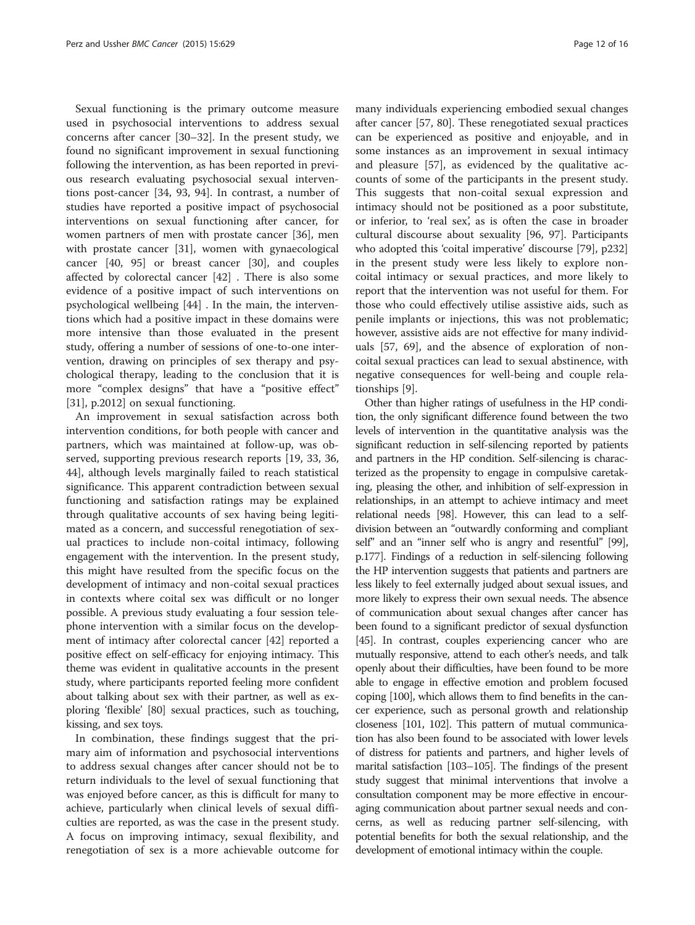Sexual functioning is the primary outcome measure used in psychosocial interventions to address sexual concerns after cancer [\[30](#page-13-0)–[32\]](#page-13-0). In the present study, we found no significant improvement in sexual functioning following the intervention, as has been reported in previous research evaluating psychosocial sexual interventions post-cancer [\[34,](#page-13-0) [93, 94\]](#page-14-0). In contrast, a number of studies have reported a positive impact of psychosocial interventions on sexual functioning after cancer, for women partners of men with prostate cancer [[36](#page-13-0)], men with prostate cancer [[31\]](#page-13-0), women with gynaecological cancer [\[40](#page-13-0), [95](#page-14-0)] or breast cancer [[30\]](#page-13-0), and couples affected by colorectal cancer [\[42](#page-13-0)] . There is also some evidence of a positive impact of such interventions on psychological wellbeing [[44\]](#page-13-0) . In the main, the interventions which had a positive impact in these domains were more intensive than those evaluated in the present study, offering a number of sessions of one-to-one intervention, drawing on principles of sex therapy and psychological therapy, leading to the conclusion that it is more "complex designs" that have a "positive effect" [[31\]](#page-13-0), p.2012] on sexual functioning.

An improvement in sexual satisfaction across both intervention conditions, for both people with cancer and partners, which was maintained at follow-up, was observed, supporting previous research reports [[19](#page-13-0), [33, 36](#page-13-0), [44\]](#page-13-0), although levels marginally failed to reach statistical significance. This apparent contradiction between sexual functioning and satisfaction ratings may be explained through qualitative accounts of sex having being legitimated as a concern, and successful renegotiation of sexual practices to include non-coital intimacy, following engagement with the intervention. In the present study, this might have resulted from the specific focus on the development of intimacy and non-coital sexual practices in contexts where coital sex was difficult or no longer possible. A previous study evaluating a four session telephone intervention with a similar focus on the development of intimacy after colorectal cancer [\[42\]](#page-13-0) reported a positive effect on self-efficacy for enjoying intimacy. This theme was evident in qualitative accounts in the present study, where participants reported feeling more confident about talking about sex with their partner, as well as exploring 'flexible' [\[80](#page-14-0)] sexual practices, such as touching, kissing, and sex toys.

In combination, these findings suggest that the primary aim of information and psychosocial interventions to address sexual changes after cancer should not be to return individuals to the level of sexual functioning that was enjoyed before cancer, as this is difficult for many to achieve, particularly when clinical levels of sexual difficulties are reported, as was the case in the present study. A focus on improving intimacy, sexual flexibility, and renegotiation of sex is a more achievable outcome for

many individuals experiencing embodied sexual changes after cancer [\[57](#page-14-0), [80](#page-14-0)]. These renegotiated sexual practices can be experienced as positive and enjoyable, and in some instances as an improvement in sexual intimacy and pleasure [[57\]](#page-14-0), as evidenced by the qualitative accounts of some of the participants in the present study. This suggests that non-coital sexual expression and intimacy should not be positioned as a poor substitute, or inferior, to 'real sex', as is often the case in broader cultural discourse about sexuality [\[96, 97](#page-14-0)]. Participants who adopted this 'coital imperative' discourse [\[79](#page-14-0)], p232] in the present study were less likely to explore noncoital intimacy or sexual practices, and more likely to report that the intervention was not useful for them. For those who could effectively utilise assistive aids, such as penile implants or injections, this was not problematic; however, assistive aids are not effective for many individuals [\[57, 69\]](#page-14-0), and the absence of exploration of noncoital sexual practices can lead to sexual abstinence, with negative consequences for well-being and couple relationships [[9\]](#page-13-0).

Other than higher ratings of usefulness in the HP condition, the only significant difference found between the two levels of intervention in the quantitative analysis was the significant reduction in self-silencing reported by patients and partners in the HP condition. Self-silencing is characterized as the propensity to engage in compulsive caretaking, pleasing the other, and inhibition of self-expression in relationships, in an attempt to achieve intimacy and meet relational needs [\[98\]](#page-14-0). However, this can lead to a selfdivision between an "outwardly conforming and compliant self" and an "inner self who is angry and resentful" [\[99](#page-14-0)], p.177]. Findings of a reduction in self-silencing following the HP intervention suggests that patients and partners are less likely to feel externally judged about sexual issues, and more likely to express their own sexual needs. The absence of communication about sexual changes after cancer has been found to a significant predictor of sexual dysfunction [[45](#page-13-0)]. In contrast, couples experiencing cancer who are mutually responsive, attend to each other's needs, and talk openly about their difficulties, have been found to be more able to engage in effective emotion and problem focused coping [[100\]](#page-14-0), which allows them to find benefits in the cancer experience, such as personal growth and relationship closeness [[101, 102](#page-14-0)]. This pattern of mutual communication has also been found to be associated with lower levels of distress for patients and partners, and higher levels of marital satisfaction [\[103](#page-14-0)–[105\]](#page-14-0). The findings of the present study suggest that minimal interventions that involve a consultation component may be more effective in encouraging communication about partner sexual needs and concerns, as well as reducing partner self-silencing, with potential benefits for both the sexual relationship, and the development of emotional intimacy within the couple.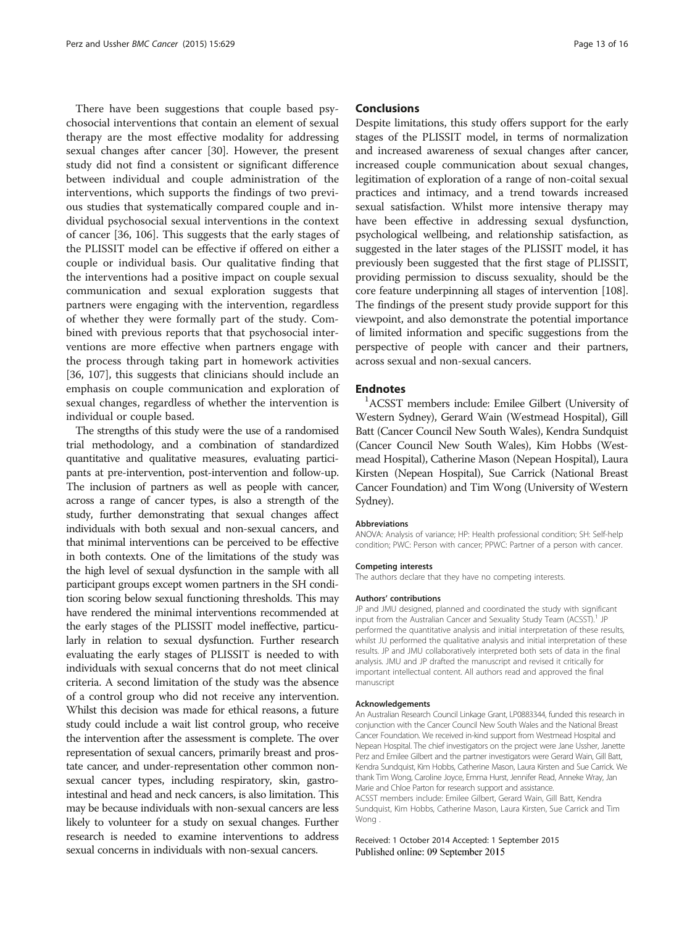There have been suggestions that couple based psychosocial interventions that contain an element of sexual therapy are the most effective modality for addressing sexual changes after cancer [[30\]](#page-13-0). However, the present study did not find a consistent or significant difference between individual and couple administration of the interventions, which supports the findings of two previous studies that systematically compared couple and individual psychosocial sexual interventions in the context of cancer [[36,](#page-13-0) [106\]](#page-15-0). This suggests that the early stages of the PLISSIT model can be effective if offered on either a couple or individual basis. Our qualitative finding that the interventions had a positive impact on couple sexual communication and sexual exploration suggests that partners were engaging with the intervention, regardless of whether they were formally part of the study. Combined with previous reports that that psychosocial interventions are more effective when partners engage with the process through taking part in homework activities [[36,](#page-13-0) [107](#page-15-0)], this suggests that clinicians should include an emphasis on couple communication and exploration of sexual changes, regardless of whether the intervention is individual or couple based.

The strengths of this study were the use of a randomised trial methodology, and a combination of standardized quantitative and qualitative measures, evaluating participants at pre-intervention, post-intervention and follow-up. The inclusion of partners as well as people with cancer, across a range of cancer types, is also a strength of the study, further demonstrating that sexual changes affect individuals with both sexual and non-sexual cancers, and that minimal interventions can be perceived to be effective in both contexts. One of the limitations of the study was the high level of sexual dysfunction in the sample with all participant groups except women partners in the SH condition scoring below sexual functioning thresholds. This may have rendered the minimal interventions recommended at the early stages of the PLISSIT model ineffective, particularly in relation to sexual dysfunction. Further research evaluating the early stages of PLISSIT is needed to with individuals with sexual concerns that do not meet clinical criteria. A second limitation of the study was the absence of a control group who did not receive any intervention. Whilst this decision was made for ethical reasons, a future study could include a wait list control group, who receive the intervention after the assessment is complete. The over representation of sexual cancers, primarily breast and prostate cancer, and under-representation other common nonsexual cancer types, including respiratory, skin, gastrointestinal and head and neck cancers, is also limitation. This may be because individuals with non-sexual cancers are less likely to volunteer for a study on sexual changes. Further research is needed to examine interventions to address sexual concerns in individuals with non-sexual cancers.

#### Conclusions

Despite limitations, this study offers support for the early stages of the PLISSIT model, in terms of normalization and increased awareness of sexual changes after cancer, increased couple communication about sexual changes, legitimation of exploration of a range of non-coital sexual practices and intimacy, and a trend towards increased sexual satisfaction. Whilst more intensive therapy may have been effective in addressing sexual dysfunction, psychological wellbeing, and relationship satisfaction, as suggested in the later stages of the PLISSIT model, it has previously been suggested that the first stage of PLISSIT, providing permission to discuss sexuality, should be the core feature underpinning all stages of intervention [[108](#page-15-0)]. The findings of the present study provide support for this viewpoint, and also demonstrate the potential importance of limited information and specific suggestions from the perspective of people with cancer and their partners, across sexual and non-sexual cancers.

## **Endnotes**

<sup>1</sup>ACSST members include: Emilee Gilbert (University of Western Sydney), Gerard Wain (Westmead Hospital), Gill Batt (Cancer Council New South Wales), Kendra Sundquist (Cancer Council New South Wales), Kim Hobbs (Westmead Hospital), Catherine Mason (Nepean Hospital), Laura Kirsten (Nepean Hospital), Sue Carrick (National Breast Cancer Foundation) and Tim Wong (University of Western Sydney).

#### Abbreviations

ANOVA: Analysis of variance; HP: Health professional condition; SH: Self-help condition; PWC: Person with cancer; PPWC: Partner of a person with cancer.

#### Competing interests

The authors declare that they have no competing interests.

#### Authors' contributions

JP and JMU designed, planned and coordinated the study with significant input from the Australian Cancer and Sexuality Study Team (ACSST).<sup>1</sup> JP performed the quantitative analysis and initial interpretation of these results, whilst JU performed the qualitative analysis and initial interpretation of these results. JP and JMU collaboratively interpreted both sets of data in the final analysis. JMU and JP drafted the manuscript and revised it critically for important intellectual content. All authors read and approved the final manuscript

#### Acknowledgements

An Australian Research Council Linkage Grant, LP0883344, funded this research in conjunction with the Cancer Council New South Wales and the National Breast Cancer Foundation. We received in-kind support from Westmead Hospital and Nepean Hospital. The chief investigators on the project were Jane Ussher, Janette Perz and Emilee Gilbert and the partner investigators were Gerard Wain, Gill Batt, Kendra Sundquist, Kim Hobbs, Catherine Mason, Laura Kirsten and Sue Carrick. We thank Tim Wong, Caroline Joyce, Emma Hurst, Jennifer Read, Anneke Wray, Jan Marie and Chloe Parton for research support and assistance. ACSST members include: Emilee Gilbert, Gerard Wain, Gill Batt, Kendra Sundquist, Kim Hobbs, Catherine Mason, Laura Kirsten, Sue Carrick and Tim Wong .

Received: 1 October 2014 Accepted: 1 September 2015 Published online: 09 September 2015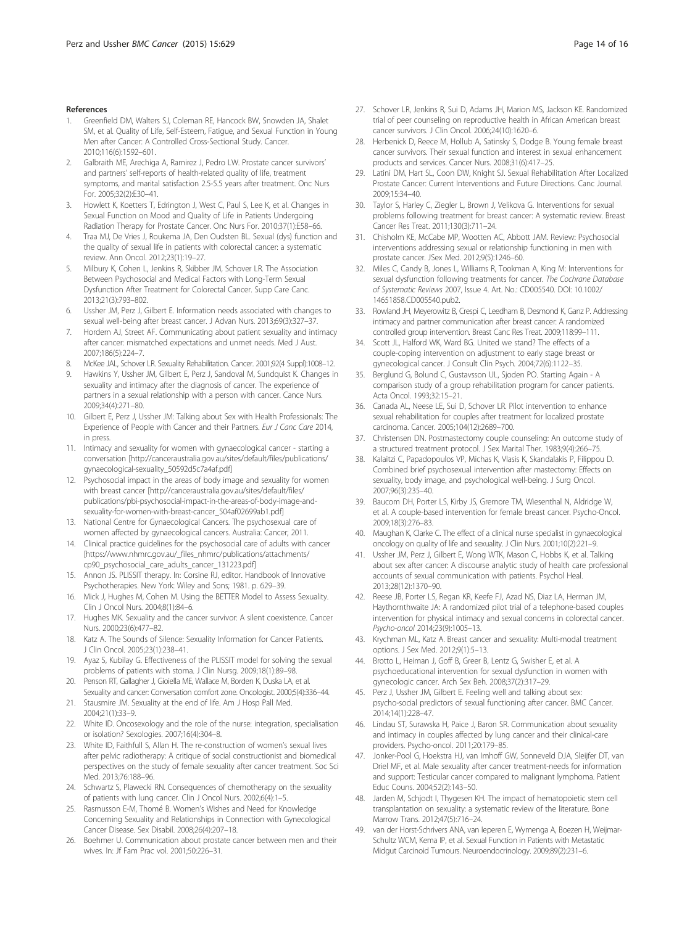#### <span id="page-13-0"></span>References

- 1. Greenfield DM, Walters SJ, Coleman RE, Hancock BW, Snowden JA, Shalet SM, et al. Quality of Life, Self-Esteem, Fatigue, and Sexual Function in Young Men after Cancer: A Controlled Cross-Sectional Study. Cancer. 2010;116(6):1592–601.
- Galbraith ME, Arechiga A, Ramirez J, Pedro LW. Prostate cancer survivors' and partners' self-reports of health-related quality of life, treatment symptoms, and marital satisfaction 2.5-5.5 years after treatment. Onc Nurs For. 2005;32(2):E30–41.
- 3. Howlett K, Koetters T, Edrington J, West C, Paul S, Lee K, et al. Changes in Sexual Function on Mood and Quality of Life in Patients Undergoing Radiation Therapy for Prostate Cancer. Onc Nurs For. 2010;37(1):E58–66.
- 4. Traa MJ, De Vries J, Roukema JA, Den Oudsten BL. Sexual (dys) function and the quality of sexual life in patients with colorectal cancer: a systematic review. Ann Oncol. 2012;23(1):19–27.
- 5. Milbury K, Cohen L, Jenkins R, Skibber JM, Schover LR. The Association Between Psychosocial and Medical Factors with Long-Term Sexual Dysfunction After Treatment for Colorectal Cancer. Supp Care Canc. 2013;21(3):793–802.
- 6. Ussher JM, Perz J, Gilbert E. Information needs associated with changes to sexual well-being after breast cancer. J Advan Nurs. 2013;69(3):327–37.
- 7. Hordern AJ, Street AF. Communicating about patient sexuality and intimacy after cancer: mismatched expectations and unmet needs. Med J Aust. 2007;186(5):224–7.
- 8. McKee JAL, Schover LR. Sexuality Rehabilitation. Cancer. 2001;92(4 Suppl):1008–12.
- 9. Hawkins Y, Ussher JM, Gilbert E, Perz J, Sandoval M, Sundquist K. Changes in sexuality and intimacy after the diagnosis of cancer. The experience of partners in a sexual relationship with a person with cancer. Cance Nurs. 2009;34(4):271–80.
- 10. Gilbert E, Perz J, Ussher JM: Talking about Sex with Health Professionals: The Experience of People with Cancer and their Partners. Eur J Canc Care 2014, in press.
- 11. Intimacy and sexuality for women with gynaecological cancer starting a conversation [\[http://canceraustralia.gov.au/sites/default/files/publications/](http://canceraustralia.gov.au/sites/default/files/publications/gynaecological-sexuality_50592d5c7a4af.pdf) [gynaecological-sexuality\\_50592d5c7a4af.pdf](http://canceraustralia.gov.au/sites/default/files/publications/gynaecological-sexuality_50592d5c7a4af.pdf)]
- 12. Psychosocial impact in the areas of body image and sexuality for women with breast cancer [\[http://canceraustralia.gov.au/sites/default/files/](http://canceraustralia.gov.au/sites/default/files/publications/pbi-psychosocial-impact-in-the-areas-of-body-image-and-sexuality-for-women-with-breast-cancer_504af02699ab1.pdf) [publications/pbi-psychosocial-impact-in-the-areas-of-body-image-and](http://canceraustralia.gov.au/sites/default/files/publications/pbi-psychosocial-impact-in-the-areas-of-body-image-and-sexuality-for-women-with-breast-cancer_504af02699ab1.pdf)[sexuality-for-women-with-breast-cancer\\_504af02699ab1.pdf\]](http://canceraustralia.gov.au/sites/default/files/publications/pbi-psychosocial-impact-in-the-areas-of-body-image-and-sexuality-for-women-with-breast-cancer_504af02699ab1.pdf)
- 13. National Centre for Gynaecological Cancers. The psychosexual care of women affected by gynaecological cancers. Australia: Cancer; 2011.
- 14. Clinical practice guidelines for the psychosocial care of adults with cancer [[https://www.nhmrc.gov.au/\\_files\\_nhmrc/publications/attachments/](https://www.nhmrc.gov.au/_files_nhmrc/publications/attachments/cp90_psychosocial_care_adults_cancer_131223.pdf) [cp90\\_psychosocial\\_care\\_adults\\_cancer\\_131223.pdf\]](https://www.nhmrc.gov.au/_files_nhmrc/publications/attachments/cp90_psychosocial_care_adults_cancer_131223.pdf)
- 15. Annon JS. PLISSIT therapy. In: Corsine RJ, editor. Handbook of Innovative Psychotherapies. New York: Wiley and Sons; 1981. p. 629–39.
- 16. Mick J, Hughes M, Cohen M. Using the BETTER Model to Assess Sexuality. Clin J Oncol Nurs. 2004;8(1):84–6.
- 17. Hughes MK. Sexuality and the cancer survivor: A silent coexistence. Cancer Nurs. 2000;23(6):477–82.
- 18. Katz A. The Sounds of Silence: Sexuality Information for Cancer Patients. J Clin Oncol. 2005;23(1):238–41.
- 19. Ayaz S, Kubilay G. Effectiveness of the PLISSIT model for solving the sexual problems of patients with stoma. J Clin Nursg. 2009;18(1):89–98.
- 20. Penson RT, Gallagher J, Gioiella ME, Wallace M, Borden K, Duska LA, et al. Sexuality and cancer: Conversation comfort zone. Oncologist. 2000;5(4):336–44.
- 21. Stausmire JM. Sexuality at the end of life. Am J Hosp Pall Med. 2004;21(1):33–9.
- 22. White ID. Oncosexology and the role of the nurse: integration, specialisation or isolation? Sexologies. 2007;16(4):304–8.
- 23. White ID, Faithfull S, Allan H. The re-construction of women's sexual lives after pelvic radiotherapy: A critique of social constructionist and biomedical perspectives on the study of female sexuality after cancer treatment. Soc Sci Med. 2013;76:188–96.
- 24. Schwartz S, Plawecki RN. Consequences of chemotherapy on the sexuality of patients with lung cancer. Clin J Oncol Nurs. 2002;6(4):1–5.
- 25. Rasmusson E-M, Thomé B. Women's Wishes and Need for Knowledge Concerning Sexuality and Relationships in Connection with Gynecological Cancer Disease. Sex Disabil. 2008;26(4):207–18.
- 26. Boehmer U. Communication about prostate cancer between men and their wives. In: Jf Fam Prac vol. 2001;50:226–31.
- 27. Schover LR, Jenkins R, Sui D, Adams JH, Marion MS, Jackson KE. Randomized trial of peer counseling on reproductive health in African American breast cancer survivors. J Clin Oncol. 2006;24(10):1620–6.
- 28. Herbenick D, Reece M, Hollub A, Satinsky S, Dodge B. Young female breast cancer survivors. Their sexual function and interest in sexual enhancement products and services. Cancer Nurs. 2008;31(6):417–25.
- 29. Latini DM, Hart SL, Coon DW, Knight SJ. Sexual Rehabilitation After Localized Prostate Cancer: Current Interventions and Future Directions. Canc Journal. 2009;15:34–40.
- 30. Taylor S, Harley C, Ziegler L, Brown J, Velikova G. Interventions for sexual problems following treatment for breast cancer: A systematic review. Breast Cancer Res Treat. 2011;130(3):711–24.
- 31. Chisholm KE, McCabe MP, Wootten AC, Abbott JAM. Review: Psychosocial interventions addressing sexual or relationship functioning in men with prostate cancer. JSex Med. 2012;9(5):1246–60.
- 32. Miles C, Candy B, Jones L, Williams R, Tookman A, King M: Interventions for sexual dysfunction following treatments for cancer. The Cochrane Database of Systematic Reviews 2007, Issue 4. Art. No.: CD005540. DOI: [10.1002/](http://dx.doi.org/10.1002/14651858.CD005540.pub2) [14651858.CD005540.pub2](http://dx.doi.org/10.1002/14651858.CD005540.pub2).
- 33. Rowland JH, Meyerowitz B, Crespi C, Leedham B, Desmond K, Ganz P. Addressing intimacy and partner communication after breast cancer: A randomized controlled group intervention. Breast Canc Res Treat. 2009;118:99–111.
- 34. Scott JL, Halford WK, Ward BG. United we stand? The effects of a couple-coping intervention on adjustment to early stage breast or gynecological cancer. J Consult Clin Psych. 2004;72(6):1122–35.
- 35. Berglund G, Bolund C, Gustavsson UL, Sjoden PO. Starting Again A comparison study of a group rehabilitation program for cancer patients. Acta Oncol. 1993;32:15–21.
- 36. Canada AL, Neese LE, Sui D, Schover LR. Pilot intervention to enhance sexual rehabilitation for couples after treatment for localized prostate carcinoma. Cancer. 2005;104(12):2689–700.
- 37. Christensen DN. Postmastectomy couple counseling: An outcome study of a structured treatment protocol. J Sex Marital Ther. 1983;9(4):266–75.
- 38. Kalaitzi C, Papadopoulos VP, Michas K, Vlasis K, Skandalakis P, Filippou D. Combined brief psychosexual intervention after mastectomy: Effects on sexuality, body image, and psychological well-being. J Surg Oncol. 2007;96(3):235–40.
- 39. Baucom DH, Porter LS, Kirby JS, Gremore TM, Wiesenthal N, Aldridge W, et al. A couple-based intervention for female breast cancer. Psycho-Oncol. 2009;18(3):276–83.
- 40. Maughan K, Clarke C. The effect of a clinical nurse specialist in gynaecological oncology on quality of life and sexuality. J Clin Nurs. 2001;10(2):221–9.
- 41. Ussher JM, Perz J, Gilbert E, Wong WTK, Mason C, Hobbs K, et al. Talking about sex after cancer: A discourse analytic study of health care professional accounts of sexual communication with patients. Psychol Heal. 2013;28(12):1370–90.
- 42. Reese JB, Porter LS, Regan KR, Keefe FJ, Azad NS, Diaz LA, Herman JM, Haythornthwaite JA: A randomized pilot trial of a telephone-based couples intervention for physical intimacy and sexual concerns in colorectal cancer. Psycho-oncol 2014;23(9):1005–13.
- 43. Krychman ML, Katz A. Breast cancer and sexuality: Multi-modal treatment options. J Sex Med. 2012;9(1):5–13.
- 44. Brotto L, Heiman J, Goff B, Greer B, Lentz G, Swisher E, et al. A psychoeducational intervention for sexual dysfunction in women with gynecologic cancer. Arch Sex Beh. 2008;37(2):317–29.
- 45. Perz J, Ussher JM, Gilbert E. Feeling well and talking about sex: psycho-social predictors of sexual functioning after cancer. BMC Cancer. 2014;14(1):228–47.
- 46. Lindau ST, Surawska H, Paice J, Baron SR. Communication about sexuality and intimacy in couples affected by lung cancer and their clinical-care providers. Psycho-oncol. 2011;20:179–85.
- 47. Jonker-Pool G, Hoekstra HJ, van Imhoff GW, Sonneveld DJA, Sleijfer DT, van Driel MF, et al. Male sexuality after cancer treatment-needs for information and support: Testicular cancer compared to malignant lymphoma. Patient Educ Couns. 2004;52(2):143–50.
- 48. Jarden M, Schjodt I, Thygesen KH. The impact of hematopoietic stem cell transplantation on sexuality: a systematic review of the literature. Bone Marrow Trans. 2012;47(5):716–24.
- 49. van der Horst-Schrivers ANA, van Ieperen E, Wymenga A, Boezen H, Weijmar-Schultz WCM, Kema IP, et al. Sexual Function in Patients with Metastatic Midgut Carcinoid Tumours. Neuroendocrinology. 2009;89(2):231–6.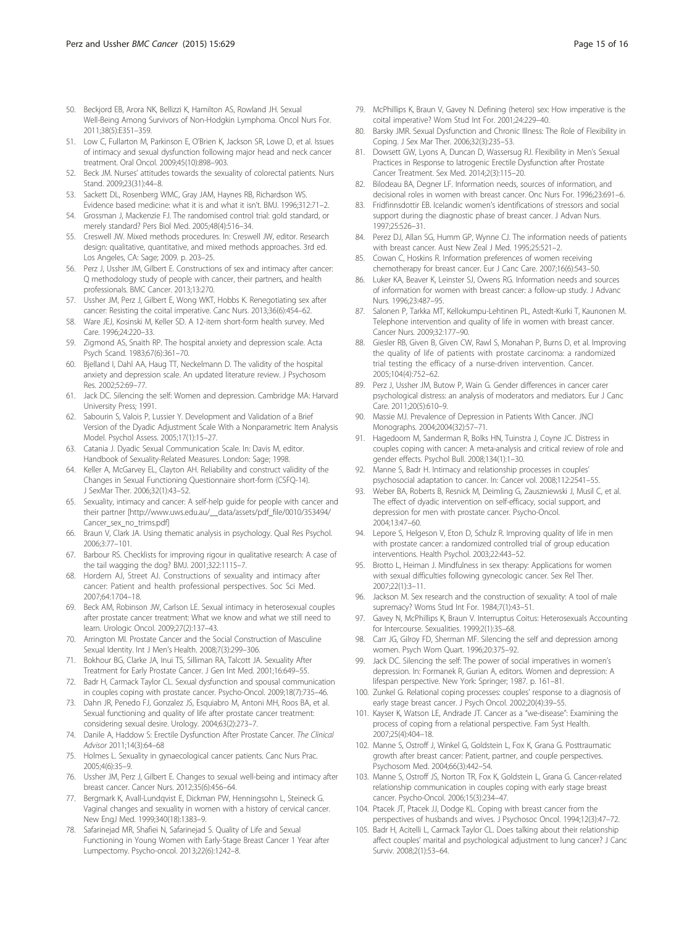- <span id="page-14-0"></span>50. Beckjord EB, Arora NK, Bellizzi K, Hamilton AS, Rowland JH. Sexual
- Well-Being Among Survivors of Non-Hodgkin Lymphoma. Oncol Nurs For. 2011;38(5):E351–359.
- 51. Low C, Fullarton M, Parkinson E, O'Brien K, Jackson SR, Lowe D, et al. Issues of intimacy and sexual dysfunction following major head and neck cancer treatment. Oral Oncol. 2009;45(10):898–903.
- 52. Beck JM. Nurses' attitudes towards the sexuality of colorectal patients. Nurs Stand. 2009;23(31):44–8.
- 53. Sackett DL, Rosenberg WMC, Gray JAM, Haynes RB, Richardson WS. Evidence based medicine: what it is and what it isn't. BMJ. 1996;312:71–2.
- 54. Grossman J, Mackenzie FJ. The randomised control trial: gold standard, or merely standard? Pers Biol Med. 2005;48(4):516–34.
- 55. Creswell JW. Mixed methods procedures. In: Creswell JW, editor. Research design: qualitative, quantitative, and mixed methods approaches. 3rd ed. Los Angeles, CA: Sage; 2009. p. 203–25.
- 56. Perz J, Ussher JM, Gilbert E. Constructions of sex and intimacy after cancer: Q methodology study of people with cancer, their partners, and health professionals. BMC Cancer. 2013;13:270.
- 57. Ussher JM, Perz J, Gilbert E, Wong WKT, Hobbs K. Renegotiating sex after cancer: Resisting the coital imperative. Canc Nurs. 2013;36(6):454–62.
- 58. Ware JEJ, Kosinski M, Keller SD. A 12-item short-form health survey. Med Care. 1996;24:220–33.
- 59. Zigmond AS, Snaith RP. The hospital anxiety and depression scale. Acta Psych Scand. 1983;67(6):361–70.
- 60. Bjelland I, Dahl AA, Haug TT, Neckelmann D. The validity of the hospital anxiety and depression scale. An updated literature review. J Psychosom Res. 2002;52:69–77.
- 61. Jack DC. Silencing the self: Women and depression. Cambridge MA: Harvard University Press; 1991.
- 62. Sabourin S, Valois P, Lussier Y. Development and Validation of a Brief Version of the Dyadic Adjustment Scale With a Nonparametric Item Analysis Model. Psychol Assess. 2005;17(1):15–27.
- 63. Catania J. Dyadic Sexual Communication Scale. In: Davis M, editor. Handbook of Sexuality-Related Measures. London: Sage; 1998.
- 64. Keller A, McGarvey EL, Clayton AH. Reliability and construct validity of the Changes in Sexual Functioning Questionnaire short-form (CSFQ-14). J SexMar Ther. 2006;32(1):43–52.
- 65. Sexuality, intimacy and cancer: A self-help guide for people with cancer and their partner [\[http://www.uws.edu.au/\\_\\_data/assets/pdf\\_file/0010/353494/](http://www.uws.edu.au/__data/assets/pdf_file/0010/353494/Cancer_sex_no_trims.pdf) [Cancer\\_sex\\_no\\_trims.pdf](http://www.uws.edu.au/__data/assets/pdf_file/0010/353494/Cancer_sex_no_trims.pdf)]
- 66. Braun V, Clark JA. Using thematic analysis in psychology. Qual Res Psychol. 2006;3:77–101.
- 67. Barbour RS. Checklists for improving rigour in qualitative research: A case of the tail wagging the dog? BMJ. 2001;322:1115–7.
- 68. Hordern AJ, Street AJ. Constructions of sexuality and intimacy after cancer: Patient and health professional perspectives. Soc Sci Med. 2007;64:1704–18.
- 69. Beck AM, Robinson JW, Carlson LE. Sexual intimacy in heterosexual couples after prostate cancer treatment: What we know and what we still need to learn. Urologic Oncol. 2009;27(2):137–43.
- 70. Arrington MI. Prostate Cancer and the Social Construction of Masculine Sexual Identity. Int J Men's Health. 2008;7(3):299–306.
- 71. Bokhour BG, Clarke JA, Inui TS, Silliman RA, Talcott JA. Sexuality After Treatment for Early Prostate Cancer. J Gen Int Med. 2001;16:649–55.
- 72. Badr H, Carmack Taylor CL. Sexual dysfunction and spousal communication in couples coping with prostate cancer. Psycho-Oncol. 2009;18(7):735–46.
- 73. Dahn JR, Penedo FJ, Gonzalez JS, Esquiabro M, Antoni MH, Roos BA, et al. Sexual functioning and quality of life after prostate cancer treatment: considering sexual desire. Urology. 2004;63(2):273–7.
- 74. Danile A, Haddow S: Erectile Dysfunction After Prostate Cancer. The Clinical Advisor 2011;14(3):64–68
- 75. Holmes L. Sexuality in gynaecological cancer patients. Canc Nurs Prac. 2005;4(6):35–9.
- 76. Ussher JM, Perz J, Gilbert E. Changes to sexual well-being and intimacy after breast cancer. Cancer Nurs. 2012;35(6):456–64.
- 77. Bergmark K, Avall-Lundqvist E, Dickman PW, Henningsohn L, Steineck G. Vaginal changes and sexuality in women with a history of cervical cancer. New EngJ Med. 1999;340(18):1383–9.
- 78. Safarinejad MR, Shafiei N, Safarinejad S. Quality of Life and Sexual Functioning in Young Women with Early-Stage Breast Cancer 1 Year after Lumpectomy. Psycho-oncol. 2013;22(6):1242–8.
- 79. McPhillips K, Braun V, Gavey N. Defining (hetero) sex: How imperative is the coital imperative? Wom Stud Int For. 2001;24:229–40.
- 80. Barsky JMR. Sexual Dysfunction and Chronic Illness: The Role of Flexibility in Coping. J Sex Mar Ther. 2006;32(3):235–53.
- 81. Dowsett GW, Lyons A, Duncan D, Wassersug RJ. Flexibility in Men's Sexual Practices in Response to Iatrogenic Erectile Dysfunction after Prostate Cancer Treatment. Sex Med. 2014;2(3):115–20.
- 82. Bilodeau BA, Degner LF. Information needs, sources of information, and decisional roles in women with breast cancer. Onc Nurs For. 1996;23:691–6.
- 83. Fridfinnsdottir EB. Icelandic women's identifications of stressors and social support during the diagnostic phase of breast cancer. J Advan Nurs. 1997;25:526–31.
- 84. Perez DJ, Allan SG, Humm GP, Wynne CJ. The information needs of patients with breast cancer. Aust New Zeal J Med. 1995;25:521–2.
- 85. Cowan C, Hoskins R. Information preferences of women receiving chemotherapy for breast cancer. Eur J Canc Care. 2007;16(6):543–50.
- 86. Luker KA, Beaver K, Leinster SJ, Owens RG. Information needs and sources of information for women with breast cancer: a follow-up study. J Advanc Nurs. 1996;23:487–95.
- 87. Salonen P, Tarkka MT, Kellokumpu-Lehtinen PL, Astedt-Kurki T, Kaunonen M. Telephone intervention and quality of life in women with breast cancer. Cancer Nurs. 2009;32:177–90.
- 88. Giesler RB, Given B, Given CW, Rawl S, Monahan P, Burns D, et al. Improving the quality of life of patients with prostate carcinoma: a randomized trial testing the efficacy of a nurse-driven intervention. Cancer. 2005;104(4):752–62.
- 89. Perz J, Ussher JM, Butow P, Wain G. Gender differences in cancer carer psychological distress: an analysis of moderators and mediators. Eur J Canc Care. 2011;20(5):610–9.
- 90. Massie MJ. Prevalence of Depression in Patients With Cancer. JNCI Monographs. 2004;2004(32):57–71.
- 91. Hagedoorn M, Sanderman R, Bolks HN, Tuinstra J, Coyne JC. Distress in couples coping with cancer: A meta-analysis and critical review of role and gender effects. Psychol Bull. 2008;134(1):1–30.
- 92. Manne S, Badr H. Intimacy and relationship processes in couples' psychosocial adaptation to cancer. In: Cancer vol. 2008;112:2541–55.
- 93. Weber BA, Roberts B, Resnick M, Deimling G, Zauszniewski J, Musil C, et al. The effect of dyadic intervention on self-efficacy, social support, and depression for men with prostate cancer. Psycho-Oncol. 2004;13:47–60.
- 94. Lepore S, Helgeson V, Eton D, Schulz R. Improving quality of life in men with prostate cancer: a randomized controlled trial of group education interventions. Health Psychol. 2003;22:443–52.
- 95. Brotto L, Heiman J. Mindfulness in sex therapy: Applications for women with sexual difficulties following gynecologic cancer. Sex Rel Ther. 2007;22(1):3–11.
- Jackson M. Sex research and the construction of sexuality: A tool of male supremacy? Woms Stud Int For. 1984;7(1):43–51.
- 97. Gavey N, McPhillips K, Braun V. Interruptus Coitus: Heterosexuals Accounting for Intercourse. Sexualities. 1999;2(1):35–68.
- 98. Carr JG, Gilroy FD, Sherman MF. Silencing the self and depression among women. Psych Wom Quart. 1996;20:375–92.
- 99. Jack DC. Silencing the self: The power of social imperatives in women's depression. In: Formanek R, Gurian A, editors. Women and depression: A lifespan perspective. New York: Springer; 1987. p. 161–81.
- 100. Zunkel G. Relational coping processes: couples' response to a diagnosis of early stage breast cancer. J Psych Oncol. 2002;20(4):39–55.
- 101. Kayser K, Watson LE, Andrade JT. Cancer as a "we-disease": Examining the process of coping from a relational perspective. Fam Syst Health. 2007;25(4):404–18.
- 102. Manne S, Ostroff J, Winkel G, Goldstein L, Fox K, Grana G. Posttraumatic growth after breast cancer: Patient, partner, and couple perspectives. Psychosom Med. 2004;66(3):442–54.
- 103. Manne S, Ostroff JS, Norton TR, Fox K, Goldstein L, Grana G. Cancer-related relationship communication in couples coping with early stage breast cancer. Psycho-Oncol. 2006;15(3):234–47.
- 104. Ptacek JT, Ptacek JJ, Dodge KL. Coping with breast cancer from the perspectives of husbands and wives. J Psychosoc Oncol. 1994;12(3):47–72.
- 105. Badr H, Acitelli L, Carmack Taylor CL. Does talking about their relationship affect couples' marital and psychological adjustment to lung cancer? J Canc Surviv. 2008;2(1):53–64.